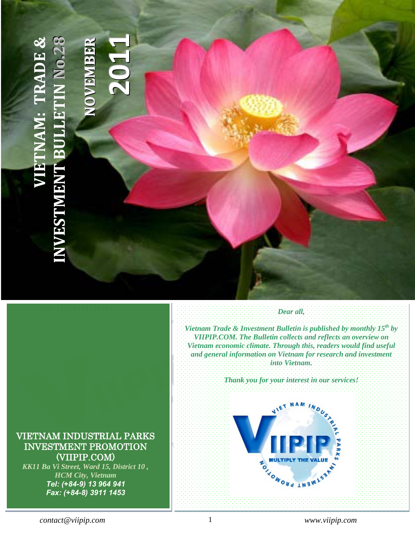# **INDOCHINA INTERNATIONAL CONSULTING CO., LTD (IIC.) VIETNAM: TRADE [&](http://www.viipip.com/homeen/)**  KK11, Ba Vi, Ward 15, District 10, Ho Chi Minh City **1**JAM: TRADE & **88RR**Tel: (+ 84-8) 3507 – Fax: (+ 84-8) 3911 9327 – Fax: (+ 84-8) 3911 1453 – Fax: (+ 84-8) 3911 1453 – Fax: (+ 84**oo.2.2 EE1BB0MMNNEE2[INVESTMENT BULLETIN](http://www.viipip.com/homeen/)**  $\blacktriangleright$ **OOZ NESTMEN**

# *Vietnam Trade & Investment Bulletin is published by monthly 15th by VIIPIP.COM. The Bulletin collects and reflects an overview on Vietnam economic climate. Through this, readers would find useful and general information on Vietnam for research and investment into Vietnam.*

*Dear all,*

*Thank you for your interest in our services!* 



# <span id="page-0-0"></span>VIETNAM INDUSTRIAL PARKS INVESTMENT PROMOTION (VIIPIP.COM)

*KK11 Ba Vi Street, Ward 15, District 10 , HCM City, Vietnam Tel: (+84-9) 13 964 941 Fax: (+84-8) 3911 1453*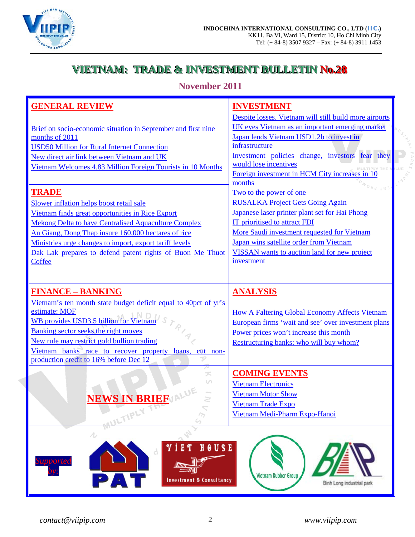

# **VIETNAM: TRADE & INVESTMENT BULLETINNo.28**

**November 2011**

| <b>GENERAL REVIEW</b>                                                                                          | <b>INVESTMENT</b>                                                                         |
|----------------------------------------------------------------------------------------------------------------|-------------------------------------------------------------------------------------------|
|                                                                                                                | Despite losses, Vietnam will still build more airports                                    |
| Brief on socio-economic situation in September and first nine                                                  | UK eyes Vietnam as an important emerging market                                           |
| months of 2011                                                                                                 | Japan lends Vietnam USD1.2b to invest in                                                  |
| <b>USD50 Million for Rural Internet Connection</b>                                                             | infrastructure                                                                            |
| New direct air link between Vietnam and UK                                                                     | Investment policies change, investors fear they                                           |
| Vietnam Welcomes 4.83 Million Foreign Tourists in 10 Months                                                    | would lose incentives                                                                     |
|                                                                                                                | Foreign investment in HCM City increases in 10                                            |
| <b>TRADE</b>                                                                                                   | months                                                                                    |
|                                                                                                                | Two to the power of one                                                                   |
| Slower inflation helps boost retail sale                                                                       | <b>RUSALKA Project Gets Going Again</b><br>Japanese laser printer plant set for Hai Phong |
| Vietnam finds great opportunities in Rice Export                                                               | <b>IT</b> prioritised to attract FDI                                                      |
| Mekong Delta to have Centralised Aquaculture Complex                                                           | More Saudi investment requested for Vietnam                                               |
| An Giang, Dong Thap insure 160,000 hectares of rice<br>Ministries urge changes to import, export tariff levels | Japan wins satellite order from Vietnam                                                   |
|                                                                                                                | VISSAN wants to auction land for new project                                              |
| Dak Lak prepares to defend patent rights of Buon Me Thuot<br>Coffee                                            | investment                                                                                |
|                                                                                                                |                                                                                           |
|                                                                                                                |                                                                                           |
| <b>FINANCE - BANKING</b>                                                                                       | <b>ANALYSIS</b>                                                                           |
| Vietnam's ten month state budget deficit equal to 40 pct of yr's                                               |                                                                                           |
| estimate: MOF                                                                                                  | <b>How A Faltering Global Economy Affects Vietnam</b>                                     |
| <b>WB</b> provides USD3.5 billion for Vietnam                                                                  | European firms 'wait and see' over investment plans                                       |
| Banking sector seeks the right moves                                                                           | Power prices won't increase this month                                                    |
| New rule may restrict gold bullion trading                                                                     | Restructuring banks: who will buy whom?                                                   |
| Vietnam banks race to recover property<br>loans.<br>cut non-                                                   |                                                                                           |
| production credit to 16% before Dec 12<br>P                                                                    |                                                                                           |
|                                                                                                                | <b>COMING EVENTS</b>                                                                      |
|                                                                                                                | <b>Vietnam Electronics</b>                                                                |



[Vietnam Motor Show](#page-31-2) [Vietnam Trade Expo](#page-31-3) [Vietnam Medi-Pharm Expo-Hanoi](#page-32-0)







Ë.

 $\gamma_{7}$ 



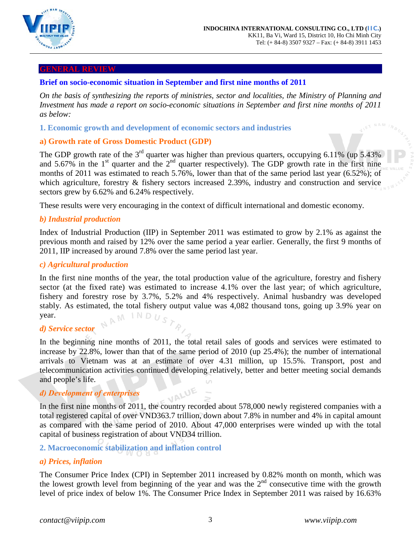

#### <span id="page-2-0"></span>**GENERAL REVIEW**

# <span id="page-2-1"></span>**Brief on socio-economic situation in September and first nine months of 2011**

*On the basis of synthesizing the reports of ministries, sector and localities, the Ministry of Planning and Investment has made a report on socio-economic situations in September and first nine months of 2011 as below:*

### **1. Economic growth and development of economic sectors and industries**

# **a) Growth rate of Gross Domestic Product (GDP)**

The GDP growth rate of the  $3<sup>rd</sup>$  quarter was higher than previous quarters, occupying 6.11% (up 5.43%) and 5.67% in the 1<sup>st</sup> quarter and the  $2<sup>nd</sup>$  quarter respectively). The GDP growth rate in the first nine months of 2011 was estimated to reach 5.76%, lower than that of the same period last year (6.52%); of which agriculture, forestry & fishery sectors increased 2.39%, industry and construction and service sectors grew by 6.62% and 6.24% respectively.

These results were very encouraging in the context of difficult international and domestic economy.

### *b) Industrial production*

Index of Industrial Production (IIP) in September 2011 was estimated to grow by 2.1% as against the previous month and raised by 12% over the same period a year earlier. Generally, the first 9 months of 2011, IIP increased by around 7.8% over the same period last year.

#### *c) Agricultural production*

In the first nine months of the year, the total production value of the agriculture, forestry and fishery sector (at the fixed rate) was estimated to increase 4.1% over the last year; of which agriculture, fishery and forestry rose by 3.7%, 5.2% and 4% respectively. Animal husbandry was developed stably. As estimated, the total fishery output value was 4,082 thousand tons, going up 3.9% year on year. NAM

## *d) Service sector*

In the beginning nine months of 2011, the total retail sales of goods and services were estimated to increase by 22.8%, lower than that of the same period of 2010 (up 25.4%); the number of international arrivals to Vietnam was at an estimate of over 4.31 million, up 15.5%. Transport, post and telecommunication activities continued developing relatively, better and better meeting social demands and people's life.

#### *đ) Development of enterprises*

In the first nine months of 2011, the country recorded about 578,000 newly registered companies with a total registered capital of over VND363.7 trillion, down about 7.8% in number and 4% in capital amount as compared with the same period of 2010. About 47,000 enterprises were winded up with the total capital of business registration of about VND34 trillion.

# **2. Macroeconomic stabilization and inflation control**

## *a) Prices, inflation*

The Consumer Price Index (CPI) in September 2011 increased by 0.82% month on month, which was the lowest growth level from beginning of the year and was the  $2<sup>nd</sup>$  consecutive time with the growth level of price index of below 1%. The Consumer Price Index in September 2011 was raised by 16.63%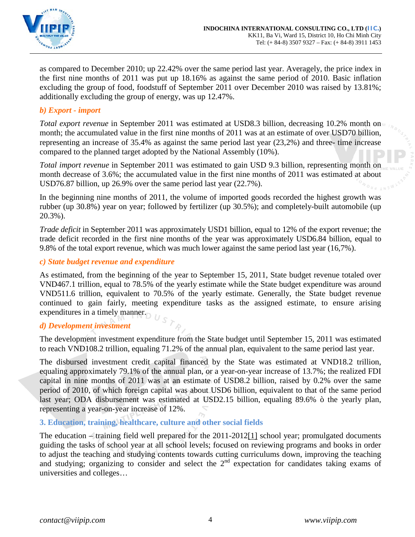

as compared to December 2010; up 22.42% over the same period last year. Averagely, the price index in the first nine months of 2011 was put up 18.16% as against the same period of 2010. Basic inflation excluding the group of food, foodstuff of September 2011 over December 2010 was raised by 13.81%; additionally excluding the group of energy, was up 12.47%.

# *b) Export - import*

*Total export revenue* in September 2011 was estimated at USD8.3 billion, decreasing 10.2% month on month; the accumulated value in the first nine months of 2011 was at an estimate of over USD70 billion, representing an increase of 35.4% as against the same period last year (23,2%) and three- time increase compared to the planned target adopted by the National Assembly (10%).

*Total import revenue* in September 2011 was estimated to gain USD 9.3 billion, representing month on month decrease of 3.6%; the accumulated value in the first nine months of 2011 was estimated at about USD76.87 billion, up 26.9% over the same period last year (22.7%).

In the beginning nine months of 2011, the volume of imported goods recorded the highest growth was rubber (up 30.8%) year on year; followed by fertilizer (up 30.5%); and completely-built automobile (up 20.3%).

*Trade deficit* in September 2011 was approximately USD1 billion, equal to 12% of the export revenue; the trade deficit recorded in the first nine months of the year was approximately USD6.84 billion, equal to 9.8% of the total export revenue, which was much lower against the same period last year (16,7%).

# *c) State budget revenue and expenditure*

As estimated, from the beginning of the year to September 15, 2011, State budget revenue totaled over VND467.1 trillion, equal to 78.5% of the yearly estimate while the State budget expenditure was around VND511.6 trillion, equivalent to 70.5% of the yearly estimate. Generally, the State budget revenue continued to gain fairly, meeting expenditure tasks as the assigned estimate, to ensure arising expenditures in a timely manner.

# *d) Development investment*

The development investment expenditure from the State budget until September 15, 2011 was estimated to reach VND108.2 trillion, equaling 71.2% of the annual plan, equivalent to the same period last year.

The disbursed investment credit capital financed by the State was estimated at VND18.2 trillion, equaling approximately 79.1% of the annual plan, or a year-on-year increase of 13.7%; the realized FDI capital in nine months of 2011 was at an estimate of USD8.2 billion, raised by 0.2% over the same period of 2010, of which foreign capital was about USD6 billion, equivalent to that of the same period last year; ODA disbursement was estimated at USD2.15 billion, equaling 89.6% ò the yearly plan, representing a year-on-year increase of 12%.

# **3. Education, training, healthcare, culture and other social fields**

The education – training field well prepared for the 2011-201[2\[1\]](http://www.mpi.gov.vn/images/FCKeditor/editor/fckblank.html#_ftn1) school year; promulgated documents guiding the tasks of school year at all school levels; focused on reviewing programs and books in order to adjust the teaching and studying contents towards cutting curriculums down, improving the teaching and studying; organizing to consider and select the  $2<sup>nd</sup>$  expectation for candidates taking exams of universities and colleges…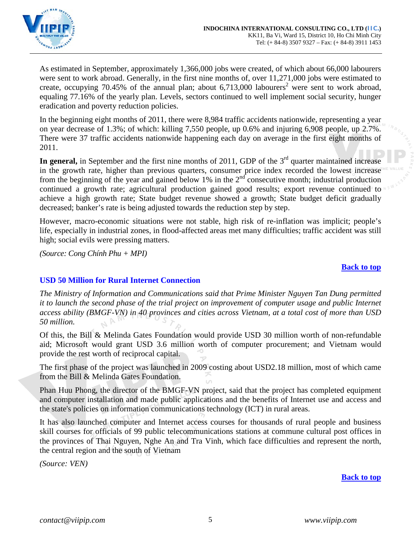

As estimated in September, approximately 1,366,000 jobs were created, of which about 66,000 labourers were sent to work abroad. Generally, in the first nine months of, over 11,271,000 jobs were estimated to create, occupying 70.45% of the annual plan; about  $6,713,000$  labourers<sup>2</sup> were sent to work abroad, equaling 77.16% of the yearly plan. Levels, sectors continued to well implement social security, hunger eradication and poverty reduction policies.

In the beginning eight months of 2011, there were 8,984 traffic accidents nationwide, representing a year on year decrease of 1.3%; of which: killing 7,550 people, up 0.6% and injuring 6,908 people, up 2.7%. There were 37 traffic accidents nationwide happening each day on average in the first eight months of 2011.

**In general,** in September and the first nine months of 2011, GDP of the 3<sup>rd</sup> quarter maintained increase in the growth rate, higher than previous quarters, consumer price index recorded the lowest increase from the beginning of the year and gained below 1% in the  $2<sup>nd</sup>$  consecutive month; industrial production continued a growth rate; agricultural production gained good results; export revenue continued to achieve a high growth rate; State budget revenue showed a growth; State budget deficit gradually decreased; banker's rate is being adjusted towards the reduction step by step.

However, macro-economic situations were not stable, high risk of re-inflation was implicit; people's life, especially in industrial zones, in flood-affected areas met many difficulties; traffic accident was still high; social evils were pressing matters.

*(Source: Cong Chính Phu + MPI)*

#### **[Back to top](#page-0-0)**

## <span id="page-4-0"></span>**USD 50 Million for Rural Internet Connection**

*The Ministry of Information and Communications said that Prime Minister Nguyen Tan Dung permitted it to launch the second phase of the trial project on improvement of computer usage and public Internet access ability (BMGF-VN) in 40 provinces and cities across Vietnam, at a total cost of more than USD 50 million.*

Of this, the Bill & Melinda Gates Foundation would provide USD 30 million worth of non-refundable aid; Microsoft would grant USD 3.6 million worth of computer procurement; and Vietnam would provide the rest worth of reciprocal capital.

The first phase of the project was launched in 2009 costing about USD2.18 million, most of which came from the Bill & Melinda Gates Foundation.

Phan Huu Phong, the director of the BMGF-VN project, said that the project has completed equipment and computer installation and made public applications and the benefits of Internet use and access and the state's policies on information communications technology (ICT) in rural areas.

It has also launched computer and Internet access courses for thousands of rural people and business skill courses for officials of 99 public telecommunications stations at commune cultural post offices in the provinces of Thai Nguyen, Nghe An and Tra Vinh, which face difficulties and represent the north, the central region and the south of Vietnam

*(Source: VEN)*

**[Back to top](#page-0-0)**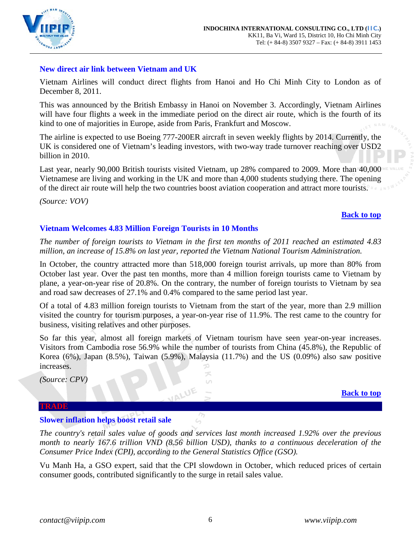

# <span id="page-5-0"></span>**New direct air link between Vietnam and UK**

Vietnam Airlines will conduct direct flights from Hanoi and Ho Chi Minh City to London as of December 8, 2011.

This was announced by the British Embassy in Hanoi on November 3. Accordingly, Vietnam Airlines will have four flights a week in the immediate period on the direct air route, which is the fourth of its kind to one of majorities in Europe, aside from Paris, Frankfurt and Moscow.

The airline is expected to use Boeing 777-200ER aircraft in seven weekly flights by 2014. Currently, the UK is considered one of Vietnam's leading investors, with two-way trade turnover reaching over USD2 billion in 2010.

Last year, nearly 90,000 British tourists visited Vietnam, up 28% compared to 2009. More than 40,000 Vietnamese are living and working in the UK and more than 4,000 students studying there. The opening of the direct air route will help the two countries boost aviation cooperation and attract more tourists.

*(Source: VOV)*

### **[Back to top](#page-0-0)**

## <span id="page-5-1"></span>**Vietnam Welcomes 4.83 Million Foreign Tourists in 10 Months**

*The number of foreign tourists to Vietnam in the first ten months of 2011 reached an estimated 4.83 million, an increase of 15.8% on last year, reported the Vietnam National Tourism Administration.* 

In October, the country attracted more than 518,000 foreign tourist arrivals, up more than 80% from October last year. Over the past ten months, more than 4 million foreign tourists came to Vietnam by plane, a year-on-year rise of 20.8%. On the contrary, the number of foreign tourists to Vietnam by sea and road saw decreases of 27.1% and 0.4% compared to the same period last year.

Of a total of 4.83 million foreign tourists to Vietnam from the start of the year, more than 2.9 million visited the country for tourism purposes, a year-on-year rise of 11.9%. The rest came to the country for business, visiting relatives and other purposes.

So far this year, almost all foreign markets of Vietnam tourism have seen year-on-year increases. Visitors from Cambodia rose 56.9% while the number of tourists from China (45.8%), the Republic of Korea (6%), Japan (8.5%), Taiwan (5.9%), Malaysia (11.7%) and the US (0.09%) also saw positive increases.

> ズ U)

*(Source: CPV)*

**[Back to top](#page-0-0)**

#### <span id="page-5-2"></span>**TRADE**

#### <span id="page-5-3"></span>**Slower inflation helps boost retail sale**

*The country's retail sales value of goods and services last month increased 1.92% over the previous month to nearly 167.6 trillion VND (8.56 billion USD), thanks to a continuous deceleration of the Consumer Price Index (CPI), according to the General Statistics Office (GSO).* 

Vu Manh Ha, a GSO expert, said that the CPI slowdown in October, which reduced prices of certain consumer goods, contributed significantly to the surge in retail sales value.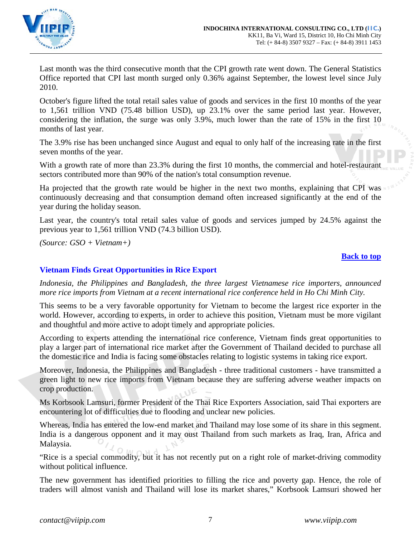

Last month was the third consecutive month that the CPI growth rate went down. The General Statistics Office reported that CPI last month surged only 0.36% against September, the lowest level since July 2010.

October's figure lifted the total retail sales value of goods and services in the first 10 months of the year to 1,561 trillion VND (75.48 billion USD), up 23.1% over the same period last year. However, considering the inflation, the surge was only 3.9%, much lower than the rate of 15% in the first 10 months of last year.

The 3.9% rise has been unchanged since August and equal to only half of the increasing rate in the first seven months of the year.

With a growth rate of more than 23.3% during the first 10 months, the commercial and hotel-restaurant sectors contributed more than 90% of the nation's total consumption revenue.

Ha projected that the growth rate would be higher in the next two months, explaining that CPI was continuously decreasing and that consumption demand often increased significantly at the end of the year during the holiday season.

Last year, the country's total retail sales value of goods and services jumped by 24.5% against the previous year to 1,561 trillion VND (74.3 billion USD).

*(Source: GSO + Vietnam+)*

### **[Back to top](#page-0-0)**

## <span id="page-6-0"></span>**Vietnam Finds Great Opportunities in Rice Export**

*Indonesia, the Philippines and Bangladesh, the three largest Vietnamese rice importers, announced more rice imports from Vietnam at a recent international rice conference held in Ho Chi Minh City.*

This seems to be a very favorable opportunity for Vietnam to become the largest rice exporter in the world. However, according to experts, in order to achieve this position, Vietnam must be more vigilant and thoughtful and more active to adopt timely and appropriate policies.

According to experts attending the international rice conference, Vietnam finds great opportunities to play a larger part of international rice market after the Government of Thailand decided to purchase all the domestic rice and India is facing some obstacles relating to logistic systems in taking rice export.

Moreover, Indonesia, the Philippines and Bangladesh - three traditional customers - have transmitted a green light to new rice imports from Vietnam because they are suffering adverse weather impacts on crop production.

Ms Korbsook Lamsuri, former President of the Thai Rice Exporters Association, said Thai exporters are encountering lot of difficulties due to flooding and unclear new policies.

Whereas, India has entered the low-end market and Thailand may lose some of its share in this segment. India is a dangerous opponent and it may oust Thailand from such markets as Iraq, Iran, Africa and Malaysia.

"Rice is a special commodity, but it has not recently put on a right role of market-driving commodity without political influence.

The new government has identified priorities to filling the rice and poverty gap. Hence, the role of traders will almost vanish and Thailand will lose its market shares," Korbsook Lamsuri showed her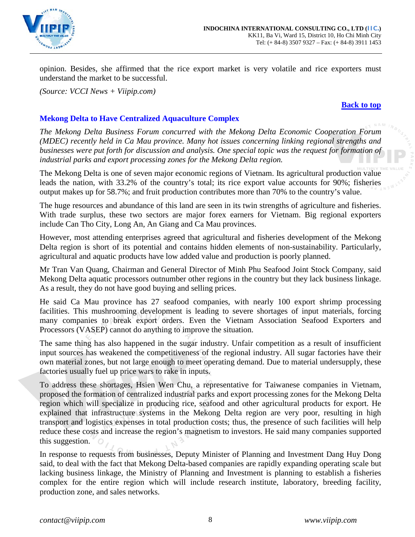

opinion. Besides, she affirmed that the rice export market is very volatile and rice exporters must understand the market to be successful.

*(Source: VCCI News + Viipip.com)*

#### **[Back to top](#page-0-0)**

# <span id="page-7-0"></span>**Mekong Delta to Have Centralized Aquaculture Complex**

*The Mekong Delta Business Forum concurred with the Mekong Delta Economic Cooperation Forum (MDEC) recently held in Ca Mau province. Many hot issues concerning linking regional strengths and businesses were put forth for discussion and analysis. One special topic was the request for formation of industrial parks and export processing zones for the Mekong Delta region.*

The Mekong Delta is one of seven major economic regions of Vietnam. Its agricultural production value leads the nation, with 33.2% of the country's total; its rice export value accounts for 90%; fisheries output makes up for 58.7%; and fruit production contributes more than 70% to the country's value.

The huge resources and abundance of this land are seen in its twin strengths of agriculture and fisheries. With trade surplus, these two sectors are major forex earners for Vietnam. Big regional exporters include Can Tho City, Long An, An Giang and Ca Mau provinces.

However, most attending enterprises agreed that agricultural and fisheries development of the Mekong Delta region is short of its potential and contains hidden elements of non-sustainability. Particularly, agricultural and aquatic products have low added value and production is poorly planned.

Mr Tran Van Quang, Chairman and General Director of Minh Phu Seafood Joint Stock Company, said Mekong Delta aquatic processors outnumber other regions in the country but they lack business linkage. As a result, they do not have good buying and selling prices.

He said Ca Mau province has 27 seafood companies, with nearly 100 export shrimp processing facilities. This mushrooming development is leading to severe shortages of input materials, forcing many companies to break export orders. Even the Vietnam Association Seafood Exporters and Processors (VASEP) cannot do anything to improve the situation.

The same thing has also happened in the sugar industry. Unfair competition as a result of insufficient input sources has weakened the competitiveness of the regional industry. All sugar factories have their own material zones, but not large enough to meet operating demand. Due to material undersupply, these factories usually fuel up price wars to rake in inputs.

To address these shortages, Hsien Wen Chu, a representative for Taiwanese companies in Vietnam, proposed the formation of centralized industrial parks and export processing zones for the Mekong Delta region which will specialize in producing rice, seafood and other agricultural products for export. He explained that infrastructure systems in the Mekong Delta region are very poor, resulting in high transport and logistics expenses in total production costs; thus, the presence of such facilities will help reduce these costs and increase the region's magnetism to investors. He said many companies supported this suggestion.

In response to requests from businesses, Deputy Minister of Planning and Investment Dang Huy Dong said, to deal with the fact that Mekong Delta-based companies are rapidly expanding operating scale but lacking business linkage, the Ministry of Planning and Investment is planning to establish a fisheries complex for the entire region which will include research institute, laboratory, breeding facility, production zone, and sales networks.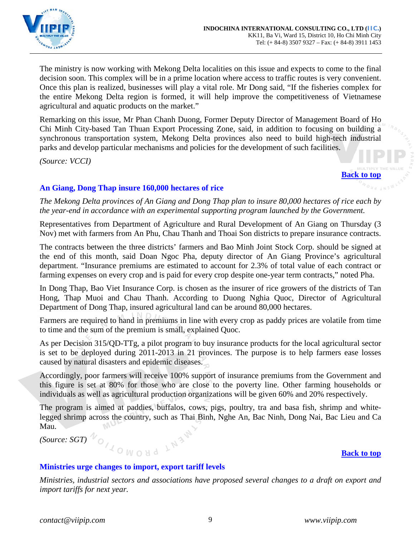

The ministry is now working with Mekong Delta localities on this issue and expects to come to the final decision soon. This complex will be in a prime location where access to traffic routes is very convenient. Once this plan is realized, businesses will play a vital role. Mr Dong said, "If the fisheries complex for the entire Mekong Delta region is formed, it will help improve the competitiveness of Vietnamese agricultural and aquatic products on the market."

Remarking on this issue, Mr Phan Chanh Duong, Former Deputy Director of Management Board of Ho Chi Minh City-based Tan Thuan Export Processing Zone, said, in addition to focusing on building a synchronous transportation system, Mekong Delta provinces also need to build high-tech industrial parks and develop particular mechanisms and policies for the development of such facilities.

*(Source: VCCI)*

**[Back to top](#page-0-0)**

# <span id="page-8-0"></span>**An Giang, Dong Thap insure 160,000 hectares of rice**

*The Mekong Delta provinces of An Giang and Dong Thap plan to insure 80,000 hectares of rice each by the year-end in accordance with an experimental supporting program launched by the Government.*

Representatives from Department of Agriculture and Rural Development of An Giang on Thursday (3 Nov) met with farmers from An Phu, Chau Thanh and Thoai Son districts to prepare insurance contracts.

The contracts between the three districts' farmers and Bao Minh Joint Stock Corp. should be signed at the end of this month, said Doan Ngoc Pha, deputy director of An Giang Province's agricultural department. "Insurance premiums are estimated to account for 2.3% of total value of each contract or farming expenses on every crop and is paid for every crop despite one-year term contracts," noted Pha.

In Dong Thap, Bao Viet Insurance Corp. is chosen as the insurer of rice growers of the districts of Tan Hong, Thap Muoi and Chau Thanh. According to Duong Nghia Quoc, Director of Agricultural Department of Dong Thap, insured agricultural land can be around 80,000 hectares.

Farmers are required to hand in premiums in line with every crop as paddy prices are volatile from time to time and the sum of the premium is small, explained Quoc.

As per Decision 315/QD-TTg, a pilot program to buy insurance products for the local agricultural sector is set to be deployed during 2011-2013 in 21 provinces. The purpose is to help farmers ease losses caused by natural disasters and epidemic diseases.

Accordingly, poor farmers will receive 100% support of insurance premiums from the Government and this figure is set at 80% for those who are close to the poverty line. Other farming households or individuals as well as agricultural production organizations will be given 60% and 20% respectively.

The program is aimed at paddies, buffalos, cows, pigs, poultry, tra and basa fish, shrimp and whitelegged shrimp across the country, such as Thai Binh, Nghe An, Bac Ninh, Dong Nai, Bac Lieu and Ca Mau.

 $(Source:SGT)\nrightarrow{\mathcal{N}_{\bigcirc}}$ 

## <span id="page-8-1"></span>**Ministries urge changes to import, export tariff levels**

*Ministries, industrial sectors and associations have proposed several changes to a draft on export and import tariffs for next year.*

**[Back to top](#page-0-0)**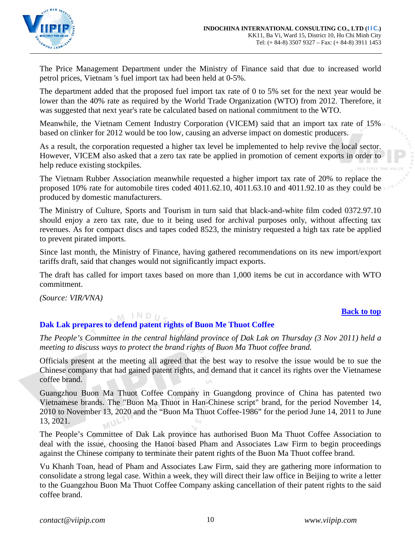

The Price Management Department under the Ministry of Finance said that due to increased world petrol prices, Vietnam 's fuel import tax had been held at 0-5%.

The department added that the proposed fuel import tax rate of 0 to 5% set for the next year would be lower than the 40% rate as required by the World Trade Organization (WTO) from 2012. Therefore, it was suggested that next year's rate be calculated based on national commitment to the WTO.

Meanwhile, the Vietnam Cement Industry Corporation (VICEM) said that an import tax rate of 15% based on clinker for 2012 would be too low, causing an adverse impact on domestic producers.

As a result, the corporation requested a higher tax level be implemented to help revive the local sector. However, VICEM also asked that a zero tax rate be applied in promotion of cement exports in order to help reduce existing stockpiles.

The Vietnam Rubber Association meanwhile requested a higher import tax rate of 20% to replace the proposed 10% rate for automobile tires coded 4011.62.10, 4011.63.10 and 4011.92.10 as they could be produced by domestic manufacturers.

The Ministry of Culture, Sports and Tourism in turn said that black-and-white film coded 0372.97.10 should enjoy a zero tax rate, due to it being used for archival purposes only, without affecting tax revenues. As for compact discs and tapes coded 8523, the ministry requested a high tax rate be applied to prevent pirated imports.

Since last month, the Ministry of Finance, having gathered recommendations on its new import/export tariffs draft, said that changes would not significantly impact exports.

The draft has called for import taxes based on more than 1,000 items be cut in accordance with WTO commitment.

*(Source: VIR/VNA)*

## **[Back to top](#page-0-0)**

#### <span id="page-9-0"></span> $M$  IND<sub>U</sub> **Dak Lak prepares to defend patent rights of Buon Me Thuot Coffee**

*The People's Committee in the central highland province of Dak Lak on Thursday (3 Nov 2011) held a meeting to discuss ways to protect the brand rights of Buon Ma Thuot coffee brand.*

Officials present at the meeting all agreed that the best way to resolve the issue would be to sue the Chinese company that had gained patent rights, and demand that it cancel its rights over the Vietnamese coffee brand.

Guangzhou Buon Ma Thuot Coffee Company in Guangdong province of China has patented two Vietnamese brands. The "Buon Ma Thuot in Han-Chinese script" brand, for the period November 14, 2010 to November 13, 2020 and the "Buon Ma Thuot Coffee-1986" for the period June 14, 2011 to June 13, 2021.

The People's Committee of Dak Lak province has authorised Buon Ma Thuot Coffee Association to deal with the issue, choosing the Hanoi based Pham and Associates Law Firm to begin proceedings against the Chinese company to terminate their patent rights of the Buon Ma Thuot coffee brand.

Vu Khanh Toan, head of Pham and Associates Law Firm, said they are gathering more information to consolidate a strong legal case. Within a week, they will direct their law office in Beijing to write a letter to the Guangzhou Buon Ma Thuot Coffee Company asking cancellation of their patent rights to the said coffee brand.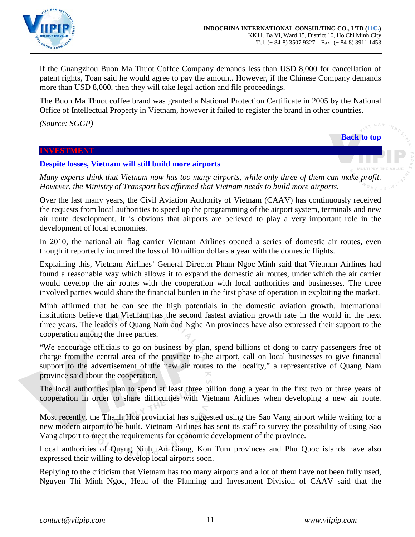

If the Guangzhou Buon Ma Thuot Coffee Company demands less than USD 8,000 for cancellation of patent rights, Toan said he would agree to pay the amount. However, if the Chinese Company demands more than USD 8,000, then they will take legal action and file proceedings.

The Buon Ma Thuot coffee brand was granted a National Protection Certificate in 2005 by the National Office of Intellectual Property in Vietnam, however it failed to register the brand in other countries.

*(Source: SGGP)*

**[Back to top](#page-0-0)**

#### <span id="page-10-0"></span>**INVESTMENT**

### <span id="page-10-1"></span>**Despite losses, Vietnam will still build more airports**

*Many experts think that Vietnam now has too many airports, while only three of them can make profit. However, the Ministry of Transport has affirmed that Vietnam needs to build more airports.*

Over the last many years, the Civil Aviation Authority of Vietnam (CAAV) has continuously received the requests from local authorities to speed up the programming of the airport system, terminals and new air route development. It is obvious that airports are believed to play a very important role in the development of local economies.

In 2010, the national air flag carrier Vietnam Airlines opened a series of domestic air routes, even though it reportedly incurred the loss of 10 million dollars a year with the domestic flights.

Explaining this, Vietnam Airlines' General Director Pham Ngoc Minh said that Vietnam Airlines had found a reasonable way which allows it to expand the domestic air routes, under which the air carrier would develop the air routes with the cooperation with local authorities and businesses. The three involved parties would share the financial burden in the first phase of operation in exploiting the market.

Minh affirmed that he can see the high potentials in the domestic aviation growth. International institutions believe that Vietnam has the second fastest aviation growth rate in the world in the next three years. The leaders of Quang Nam and Nghe An provinces have also expressed their support to the cooperation among the three parties.

"We encourage officials to go on business by plan, spend billions of dong to carry passengers free of charge from the central area of the province to the airport, call on local businesses to give financial support to the advertisement of the new air routes to the locality," a representative of Quang Nam province said about the cooperation.

The local authorities plan to spend at least three billion dong a year in the first two or three years of cooperation in order to share difficulties with Vietnam Airlines when developing a new air route.

Most recently, the Thanh Hoa provincial has suggested using the Sao Vang airport while waiting for a new modern airport to be built. Vietnam Airlines has sent its staff to survey the possibility of using Sao Vang airport to meet the requirements for economic development of the province.

Local authorities of Quang Ninh, An Giang, Kon Tum provinces and Phu Quoc islands have also expressed their willing to develop local airports soon.

Replying to the criticism that Vietnam has too many airports and a lot of them have not been fully used, Nguyen Thi Minh Ngoc, Head of the Planning and Investment Division of CAAV said that the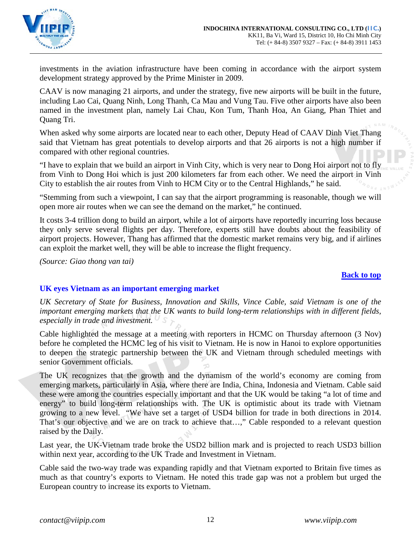

investments in the aviation infrastructure have been coming in accordance with the airport system development strategy approved by the Prime Minister in 2009.

CAAV is now managing 21 airports, and under the strategy, five new airports will be built in the future, including Lao Cai, Quang Ninh, Long Thanh, Ca Mau and Vung Tau. Five other airports have also been named in the investment plan, namely Lai Chau, Kon Tum, Thanh Hoa, An Giang, Phan Thiet and Quang Tri.

When asked why some airports are located near to each other, Deputy Head of CAAV Dinh Viet Thang said that Vietnam has great potentials to develop airports and that 26 airports is not a high number if compared with other regional countries.

"I have to explain that we build an airport in Vinh City, which is very near to Dong Hoi airport not to fly from Vinh to Dong Hoi which is just 200 kilometers far from each other. We need the airport in Vinh City to establish the air routes from Vinh to HCM City or to the Central Highlands," he said.

"Stemming from such a viewpoint, I can say that the airport programming is reasonable, though we will open more air routes when we can see the demand on the market," he continued.

It costs 3-4 trillion dong to build an airport, while a lot of airports have reportedly incurring loss because they only serve several flights per day. Therefore, experts still have doubts about the feasibility of airport projects. However, Thang has affirmed that the domestic market remains very big, and if airlines can exploit the market well, they will be able to increase the flight frequency.

*(Source: Giao thong van tai)*

## **[Back to top](#page-0-0)**

# **UK eyes Vietnam as an important emerging market**

*UK Secretary of State for Business, Innovation and Skills, Vince Cable, said Vietnam is one of the important emerging markets that the UK wants to build long-term relationships with in different fields, especially in trade and investment.*

Cable highlighted the message at a meeting with reporters in HCMC on Thursday afternoon (3 Nov) before he completed the HCMC leg of his visit to Vietnam. He is now in Hanoi to explore opportunities to deepen the strategic partnership between the UK and Vietnam through scheduled meetings with senior Government officials.

The UK recognizes that the growth and the dynamism of the world's economy are coming from emerging markets, particularly in Asia, where there are India, China, Indonesia and Vietnam. Cable said these were among the countries especially important and that the UK would be taking "a lot of time and energy" to build long-term relationships with. The UK is optimistic about its trade with Vietnam growing to a new level. "We have set a target of USD4 billion for trade in both directions in 2014. That's our objective and we are on track to achieve that…," Cable responded to a relevant question raised by the Daily.

Last year, the UK-Vietnam trade broke the USD2 billion mark and is projected to reach USD3 billion within next year, according to the UK Trade and Investment in Vietnam.

Cable said the two-way trade was expanding rapidly and that Vietnam exported to Britain five times as much as that country's exports to Vietnam. He noted this trade gap was not a problem but urged the European country to increase its exports to Vietnam.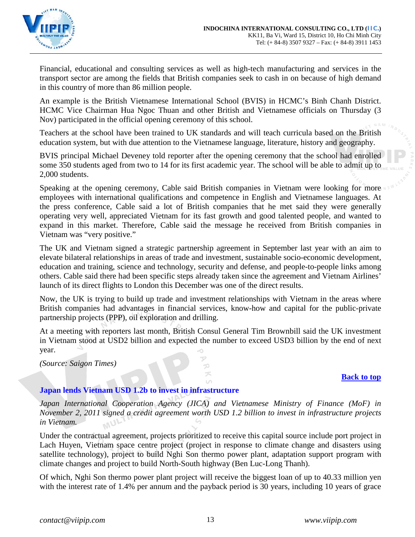

Financial, educational and consulting services as well as high-tech manufacturing and services in the transport sector are among the fields that British companies seek to cash in on because of high demand in this country of more than 86 million people.

An example is the British Vietnamese International School (BVIS) in HCMC's Binh Chanh District. HCMC Vice Chairman Hua Ngoc Thuan and other British and Vietnamese officials on Thursday (3 Nov) participated in the official opening ceremony of this school.

Teachers at the school have been trained to UK standards and will teach curricula based on the British education system, but with due attention to the Vietnamese language, literature, history and geography.

BVIS principal Michael Deveney told reporter after the opening ceremony that the school had enrolled some 350 students aged from two to 14 for its first academic year. The school will be able to admit up to 2,000 students.

Speaking at the opening ceremony, Cable said British companies in Vietnam were looking for more employees with international qualifications and competence in English and Vietnamese languages. At the press conference, Cable said a lot of British companies that he met said they were generally operating very well, appreciated Vietnam for its fast growth and good talented people, and wanted to expand in this market. Therefore, Cable said the message he received from British companies in Vietnam was "very positive."

The UK and Vietnam signed a strategic partnership agreement in September last year with an aim to elevate bilateral relationships in areas of trade and investment, sustainable socio-economic development, education and training, science and technology, security and defense, and people-to-people links among others. Cable said there had been specific steps already taken since the agreement and Vietnam Airlines' launch of its direct flights to London this December was one of the direct results.

Now, the UK is trying to build up trade and investment relationships with Vietnam in the areas where British companies had advantages in financial services, know-how and capital for the public-private partnership projects (PPP), oil exploration and drilling.

At a meeting with reporters last month, British Consul General Tim Brownbill said the UK investment in Vietnam stood at USD2 billion and expected the number to exceed USD3 billion by the end of next year.

> つ ズ

*(Source: Saigon Times)*

## **[Back to top](#page-0-0)**

## <span id="page-12-0"></span>**Japan lends Vietnam USD 1.2b to invest in infrastructure**

*Japan International Cooperation Agency (JICA) and Vietnamese Ministry of Finance (MoF) in November 2, 2011 signed a credit agreement worth USD 1.2 billion to invest in infrastructure projects in Vietnam.*  $l_{Bx}$ 

Under the contractual agreement, projects prioritized to receive this capital source include port project in Lach Huyen, Vietnam space centre project (project in response to climate change and disasters using satellite technology), project to build Nghi Son thermo power plant, adaptation support program with climate changes and project to build North-South highway (Ben Luc-Long Thanh).

Of which, Nghi Son thermo power plant project will receive the biggest loan of up to 40.33 million yen with the interest rate of 1.4% per annum and the payback period is 30 years, including 10 years of grace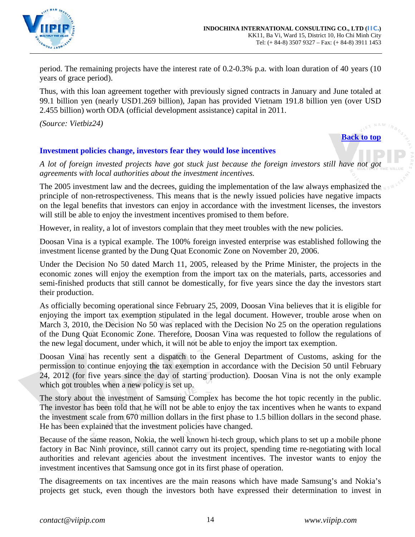

period. The remaining projects have the interest rate of 0.2-0.3% p.a. with loan duration of 40 years (10 years of grace period).

Thus, with this loan agreement together with previously signed contracts in January and June totaled at 99.1 billion yen (nearly USD1.269 billion), Japan has provided Vietnam 191.8 billion yen (over USD 2.455 billion) worth ODA (official development assistance) capital in 2011.

*(Source: Vietbiz24)*

**[Back to top](#page-0-0)**

# <span id="page-13-0"></span>**Investment policies change, investors fear they would lose incentives**

*A lot of foreign invested projects have got stuck just because the foreign investors still have not got agreements with local authorities about the investment incentives.*

The 2005 investment law and the decrees, guiding the implementation of the law always emphasized the principle of non-retrospectiveness. This means that is the newly issued policies have negative impacts on the legal benefits that investors can enjoy in accordance with the investment licenses, the investors will still be able to enjoy the investment incentives promised to them before.

However, in reality, a lot of investors complain that they meet troubles with the new policies.

Doosan Vina is a typical example. The 100% foreign invested enterprise was established following the investment license granted by the Dung Quat Economic Zone on November 20, 2006.

Under the Decision No 50 dated March 11, 2005, released by the Prime Minister, the projects in the economic zones will enjoy the exemption from the import tax on the materials, parts, accessories and semi-finished products that still cannot be domestically, for five years since the day the investors start their production.

As officially becoming operational since February 25, 2009, Doosan Vina believes that it is eligible for enjoying the import tax exemption stipulated in the legal document. However, trouble arose when on March 3, 2010, the Decision No 50 was replaced with the Decision No 25 on the operation regulations of the Dung Quat Economic Zone. Therefore, Doosan Vina was requested to follow the regulations of the new legal document, under which, it will not be able to enjoy the import tax exemption.

Doosan Vina has recently sent a dispatch to the General Department of Customs, asking for the permission to continue enjoying the tax exemption in accordance with the Decision 50 until February 24, 2012 (for five years since the day of starting production). Doosan Vina is not the only example which got troubles when a new policy is set up.

The story about the investment of Samsung Complex has become the hot topic recently in the public. The investor has been told that he will not be able to enjoy the tax incentives when he wants to expand the investment scale from 670 million dollars in the first phase to 1.5 billion dollars in the second phase. He has been explained that the investment policies have changed.

Because of the same reason, Nokia, the well known hi-tech group, which plans to set up a mobile phone factory in Bac Ninh province, still cannot carry out its project, spending time re-negotiating with local authorities and relevant agencies about the investment incentives. The investor wants to enjoy the investment incentives that Samsung once got in its first phase of operation.

The disagreements on tax incentives are the main reasons which have made Samsung's and Nokia's projects get stuck, even though the investors both have expressed their determination to invest in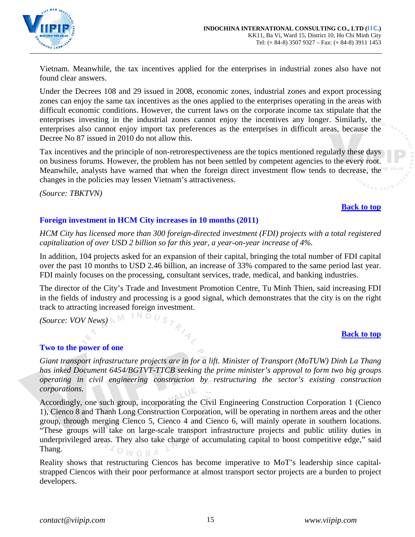

Vietnam. Meanwhile, the tax incentives applied for the enterprises in industrial zones also have not found clear answers.

Under the Decrees 108 and 29 issued in 2008, economic zones, industrial zones and export processing zones can enjoy the same tax incentives as the ones applied to the enterprises operating in the areas with difficult economic conditions. However, the current laws on the corporate income tax stipulate that the enterprises investing in the industrial zones cannot enjoy the incentives any longer. Similarly, the enterprises also cannot enjoy import tax preferences as the enterprises in difficult areas, because the Decree No 87 issued in 2010 do not allow this.

Tax incentives and the principle of non-retrorespectiveness are the topics mentioned regularly these days on business forums. However, the problem has not been settled by competent agencies to the every root. Meanwhile, analysts have warned that when the foreign direct investment flow tends to decrease, the changes in the policies may lessen Vietnam's attractiveness.

*(Source: TBKTVN)*

## **[Back to top](#page-0-0)**

# <span id="page-14-0"></span>**Foreign investment in HCM City increases in 10 months (2011)**

*HCM City has licensed more than 300 foreign-directed investment (FDI) projects with a total registered capitalization of over USD 2 billion so far this year, a year-on-year increase of 4%.*

In addition, 104 projects asked for an expansion of their capital, bringing the total number of FDI capital over the past 10 months to USD 2.46 billion, an increase of 33% compared to the same period last year. FDI mainly focuses on the processing, consultant services, trade, medical, and banking industries.

The director of the City's Trade and Investment Promotion Centre, Tu Minh Thien, said increasing FDI in the fields of industry and processing is a good signal, which demonstrates that the city is on the right track to attracting increased foreign investment.

*(Source: VOV News)*

# **[Back to top](#page-0-0)**

## <span id="page-14-1"></span>**Two to the power of one**

*Giant transport infrastructure projects are in for a lift. Minister of Transport (MoTUW) Dinh La Thang has inked Document 6454/BGTVT-TTCB seeking the prime minister's approval to form two big groups operating in civil engineering construction by restructuring the sector's existing construction corporations.*

Accordingly, one such group, incorporating the Civil Engineering Construction Corporation 1 (Cienco 1), Cienco 8 and Thanh Long Construction Corporation, will be operating in northern areas and the other group, through merging Cienco 5, Cienco 4 and Cienco 6, will mainly operate in southern locations. "These groups will take on large-scale transport infrastructure projects and public utility duties in underprivileged areas. They also take charge of accumulating capital to boost competitive edge," said Thang.  $OMONd$ 

Reality shows that restructuring Ciencos has become imperative to MoT's leadership since capitalstrapped Ciencos with their poor performance at almost transport sector projects are a burden to project developers.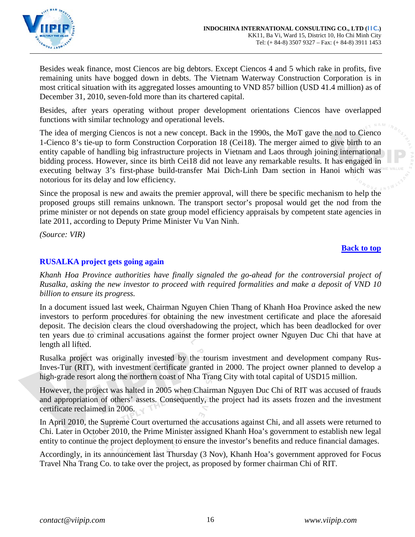

Besides weak finance, most Ciencos are big debtors. Except Ciencos 4 and 5 which rake in profits, five remaining units have bogged down in debts. The Vietnam Waterway Construction Corporation is in most critical situation with its aggregated losses amounting to VND 857 billion (USD 41.4 million) as of December 31, 2010, seven-fold more than its chartered capital.

Besides, after years operating without proper development orientations Ciencos have overlapped functions with similar technology and operational levels.

The idea of merging Ciencos is not a new concept. Back in the 1990s, the MoT gave the nod to Cienco 1-Cienco 8's tie-up to form Construction Corporation 18 (Cei18). The merger aimed to give birth to an entity capable of handling big infrastructure projects in Vietnam and Laos through joining international bidding process. However, since its birth Cei18 did not leave any remarkable results. It has engaged in executing beltway 3's first-phase build-transfer Mai Dich-Linh Dam section in Hanoi which was notorious for its delay and low efficiency.

Since the proposal is new and awaits the premier approval, will there be specific mechanism to help the proposed groups still remains unknown. The transport sector's proposal would get the nod from the prime minister or not depends on state group model efficiency appraisals by competent state agencies in late 2011, according to Deputy Prime Minister Vu Van Ninh.

*(Source: VIR)*

# **[Back to top](#page-0-0)**

# <span id="page-15-0"></span>**RUSALKA project gets going again**

*Khanh Hoa Province authorities have finally signaled the go-ahead for the controversial project of Rusalka, asking the new investor to proceed with required formalities and make a deposit of VND 10 billion to ensure its progress.*

In a document issued last week, Chairman Nguyen Chien Thang of Khanh Hoa Province asked the new investors to perform procedures for obtaining the new investment certificate and place the aforesaid deposit. The decision clears the cloud overshadowing the project, which has been deadlocked for over ten years due to criminal accusations against the former project owner Nguyen Duc Chi that have at length all lifted.

Rusalka project was originally invested by the tourism investment and development company Rus-Inves-Tur (RIT), with investment certificate granted in 2000. The project owner planned to develop a high-grade resort along the northern coast of Nha Trang City with total capital of USD15 million.

However, the project was halted in 2005 when Chairman Nguyen Duc Chi of RIT was accused of frauds and appropriation of others' assets. Consequently, the project had its assets frozen and the investment certificate reclaimed in 2006.

In April 2010, the Supreme Court overturned the accusations against Chi, and all assets were returned to Chi. Later in October 2010, the Prime Minister assigned Khanh Hoa's government to establish new legal entity to continue the project deployment to ensure the investor's benefits and reduce financial damages.

Accordingly, in its announcement last Thursday (3 Nov), Khanh Hoa's government approved for Focus Travel Nha Trang Co. to take over the project, as proposed by former chairman Chi of RIT.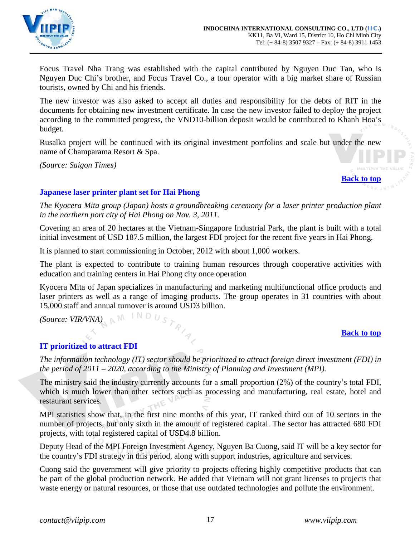

Focus Travel Nha Trang was established with the capital contributed by Nguyen Duc Tan, who is Nguyen Duc Chi's brother, and Focus Travel Co., a tour operator with a big market share of Russian tourists, owned by Chi and his friends.

The new investor was also asked to accept all duties and responsibility for the debts of RIT in the documents for obtaining new investment certificate. In case the new investor failed to deploy the project according to the committed progress, the VND10-billion deposit would be contributed to Khanh Hoa's budget.

Rusalka project will be continued with its original investment portfolios and scale but under the new name of Champarama Resort & Spa.

*(Source: Saigon Times)*

**[Back to top](#page-0-0)**

# <span id="page-16-0"></span>**Japanese laser printer plant set for Hai Phong**

*The Kyocera Mita group (Japan) hosts a groundbreaking ceremony for a laser printer production plant in the northern port city of Hai Phong on Nov. 3, 2011.*

Covering an area of 20 hectares at the Vietnam-Singapore Industrial Park, the plant is built with a total initial investment of USD 187.5 million, the largest FDI project for the recent five years in Hai Phong.

It is planned to start commissioning in October, 2012 with about 1,000 workers.

The plant is expected to contribute to training human resources through cooperative activities with education and training centers in Hai Phong city once operation

Kyocera Mita of Japan specializes in manufacturing and marketing multifunctional office products and laser printers as well as a range of imaging products. The group operates in 31 countries with about 15,000 staff and annual turnover is around USD3 billion.

*(Source: VIR/VNA)*

## **[Back to top](#page-0-0)**

# <span id="page-16-1"></span>**IT prioritized to attract FDI**

*The information technology (IT) sector should be prioritized to attract foreign direct investment (FDI) in the period of 2011 – 2020, according to the Ministry of Planning and Investment (MPI).*

The ministry said the industry currently accounts for a small proportion (2%) of the country's total FDI, which is much lower than other sectors such as processing and manufacturing, real estate, hotel and restaurant services.

MPI statistics show that, in the first nine months of this year, IT ranked third out of 10 sectors in the number of projects, but only sixth in the amount of registered capital. The sector has attracted 680 FDI projects, with total registered capital of USD4.8 billion.

Deputy Head of the MPI Foreign Investment Agency, Nguyen Ba Cuong, said IT will be a key sector for the country's FDI strategy in this period, along with support industries, agriculture and services.

Cuong said the government will give priority to projects offering highly competitive products that can be part of the global production network. He added that Vietnam will not grant licenses to projects that waste energy or natural resources, or those that use outdated technologies and pollute the environment.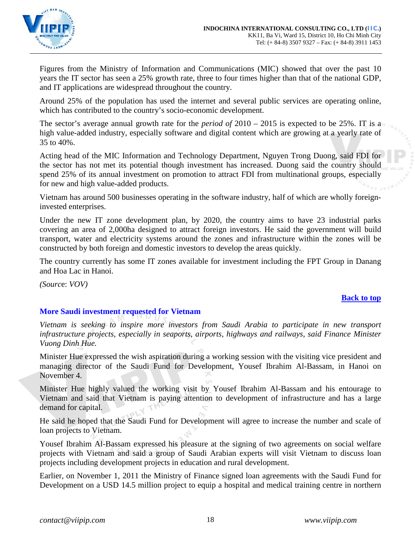

Figures from the Ministry of Information and Communications (MIC) showed that over the past 10 years the IT sector has seen a 25% growth rate, three to four times higher than that of the national GDP, and IT applications are widespread throughout the country.

Around 25% of the population has used the internet and several public services are operating online, which has contributed to the country's socio-economic development.

The sector's average annual growth rate for the *period of*  $2010 - 2015$  is expected to be 25%. IT is a high value-added industry, especially software and digital content which are growing at a yearly rate of 35 to 40%.

Acting head of the MIC Information and Technology Department, Nguyen Trong Duong, said FDI for the sector has not met its potential though investment has increased. Duong said the country should spend 25% of its annual investment on promotion to attract FDI from multinational groups, especially for new and high value-added products.

Vietnam has around 500 businesses operating in the software industry, half of which are wholly foreigninvested enterprises.

Under the new IT zone development plan, by 2020, the country aims to have 23 industrial parks covering an area of 2,000ha designed to attract foreign investors. He said the government will build transport, water and electricity systems around the zones and infrastructure within the zones will be constructed by both foreign and domestic investors to develop the areas quickly.

The country currently has some IT zones available for investment including the FPT Group in Danang and Hoa Lac in Hanoi.

*(Sourc*e: *VOV)*

# **[Back to top](#page-0-0)**

# <span id="page-17-0"></span>**More Saudi investment requested for Vietnam**

*Vietnam is seeking to inspire more investors from Saudi Arabia to participate in new transport infrastructure projects, especially in seaports, airports, highways and railways, said Finance Minister Vuong Dinh Hue.*

Minister Hue expressed the wish aspiration during a working session with the visiting vice president and managing director of the Saudi Fund for Development, Yousef Ibrahim Al-Bassam, in Hanoi on November 4.

Minister Hue highly valued the working visit by Yousef Ibrahim Al-Bassam and his entourage to Vietnam and said that Vietnam is paying attention to development of infrastructure and has a large demand for capital.

He said he hoped that the Saudi Fund for Development will agree to increase the number and scale of loan projects to Vietnam.

Yousef Ibrahim Al-Bassam expressed his pleasure at the signing of two agreements on social welfare projects with Vietnam and said a group of Saudi Arabian experts will visit Vietnam to discuss loan projects including development projects in education and rural development.

Earlier, on November 1, 2011 the Ministry of Finance signed loan agreements with the Saudi Fund for Development on a USD 14.5 million project to equip a hospital and medical training centre in northern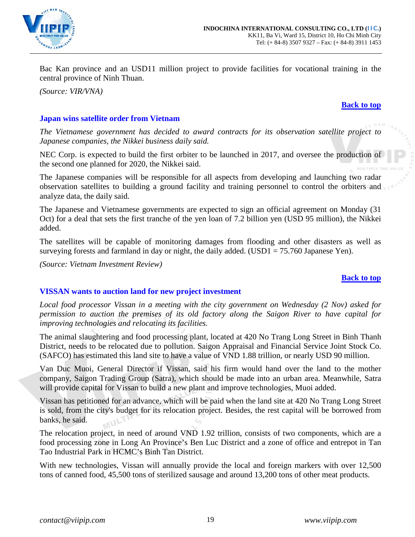

Bac Kan province and an USD11 million project to provide facilities for vocational training in the central province of Ninh Thuan.

*(Source: VIR/VNA)*

## **[Back to top](#page-0-0)**

# <span id="page-18-0"></span>**Japan wins satellite order from Vietnam**

*The Vietnamese government has decided to award contracts for its observation satellite project to Japanese companies, the Nikkei business daily said.*

NEC Corp. is expected to build the first orbiter to be launched in 2017, and oversee the production of the second one planned for 2020, the Nikkei said.

The Japanese companies will be responsible for all aspects from developing and launching two radar observation satellites to building a ground facility and training personnel to control the orbiters and analyze data, the daily said.

The Japanese and Vietnamese governments are expected to sign an official agreement on Monday (31 Oct) for a deal that sets the first tranche of the yen loan of 7.2 billion yen (USD 95 million), the Nikkei added.

The satellites will be capable of monitoring damages from flooding and other disasters as well as surveying forests and farmland in day or night, the daily added. (USD1 =  $75.760$  Japanese Yen).

*(Source: Vietnam Investment Review)*

#### **[Back to top](#page-0-0)**

## <span id="page-18-1"></span>**VISSAN wants to auction land for new project investment**

*Local food processor Vissan in a meeting with the city government on Wednesday (2 Nov) asked for permission to auction the premises of its old factory along the Saigon River to have capital for improving technologies and relocating its facilities.*

The animal slaughtering and food processing plant, located at 420 No Trang Long Street in Binh Thanh District, needs to be relocated due to pollution. Saigon Appraisal and Financial Service Joint Stock Co. (SAFCO) has estimated this land site to have a value of VND 1.88 trillion, or nearly USD 90 million.

Van Duc Muoi, General Director if Vissan, said his firm would hand over the land to the mother company, Saigon Trading Group (Satra), which should be made into an urban area. Meanwhile, Satra will provide capital for Vissan to build a new plant and improve technologies, Muoi added.

Vissan has petitioned for an advance, which will be paid when the land site at 420 No Trang Long Street is sold, from the city's budget for its relocation project. Besides, the rest capital will be borrowed from banks, he said.

The relocation project, in need of around VND 1.92 trillion, consists of two components, which are a food processing zone in Long An Province's Ben Luc District and a zone of office and entrepot in Tan Tao Industrial Park in HCMC's Binh Tan District.

With new technologies, Vissan will annually provide the local and foreign markers with over 12,500 tons of canned food, 45,500 tons of sterilized sausage and around 13,200 tons of other meat products.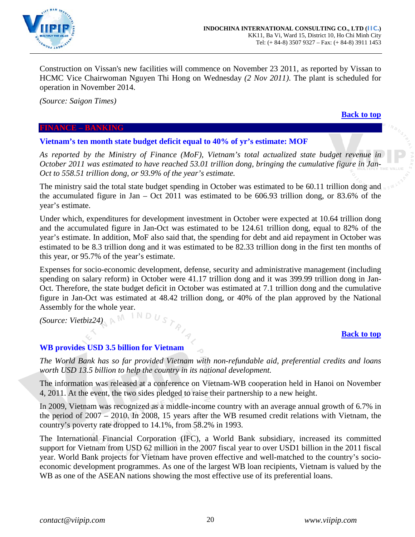

Construction on Vissan's new facilities will commence on November 23 2011, as reported by Vissan to HCMC Vice Chairwoman Nguyen Thi Hong on Wednesday *(2 Nov 2011)*. The plant is scheduled for operation in November 2014.

*(Source: Saigon Times)*

**[Back to top](#page-0-0)**

## <span id="page-19-0"></span>**FINANCE – BANKING**

<span id="page-19-1"></span>**Vietnam's ten month state budget deficit equal to 40% of yr's estimate: MOF**

*As reported by the Ministry of Finance (MoF), Vietnam's total actualized state budget revenue in October 2011 was estimated to have reached 53.01 trillion dong, bringing the cumulative figure in Jan-Oct to 558.51 trillion dong, or 93.9% of the year's estimate.*

The ministry said the total state budget spending in October was estimated to be 60.11 trillion dong and the accumulated figure in Jan – Oct 2011 was estimated to be 606.93 trillion dong, or 83.6% of the year's estimate.

Under which, expenditures for development investment in October were expected at 10.64 trillion dong and the accumulated figure in Jan-Oct was estimated to be 124.61 trillion dong, equal to 82% of the year's estimate. In addition, MoF also said that, the spending for debt and aid repayment in October was estimated to be 8.3 trillion dong and it was estimated to be 82.33 trillion dong in the first ten months of this year, or 95.7% of the year's estimate.

Expenses for socio-economic development, defense, security and administrative management (including spending on salary reform) in October were 41.17 trillion dong and it was 399.99 trillion dong in Jan-Oct. Therefore, the state budget deficit in October was estimated at 7.1 trillion dong and the cumulative figure in Jan-Oct was estimated at 48.42 trillion dong, or 40% of the plan approved by the National Assembly for the whole year.

*(Source: Vietbiz24)*

## **[Back to top](#page-0-0)**

# <span id="page-19-2"></span>**WB provides USD 3.5 billion for Vietnam**

*The World Bank has so far provided Vietnam with non-refundable aid, preferential credits and loans worth USD 13.5 billion to help the country in its national development.*

The information was released at a conference on Vietnam-WB cooperation held in Hanoi on November 4, 2011. At the event, the two sides pledged to raise their partnership to a new height.

In 2009, Vietnam was recognized as a middle-income country with an average annual growth of 6.7% in the period of 2007 – 2010. In 2008, 15 years after the WB resumed credit relations with Vietnam, the country's poverty rate dropped to 14.1%, from 58.2% in 1993.

The International Financial Corporation (IFC), a World Bank subsidiary, increased its committed support for Vietnam from USD 62 million in the 2007 fiscal year to over USD1 billion in the 2011 fiscal year. World Bank projects for Vietnam have proven effective and well-matched to the country's socioeconomic development programmes. As one of the largest WB loan recipients, Vietnam is valued by the WB as one of the ASEAN nations showing the most effective use of its preferential loans.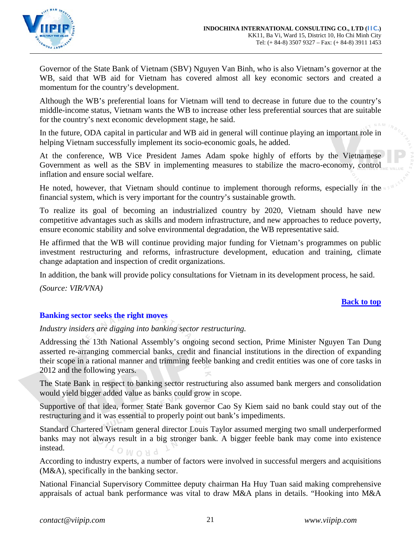

Governor of the State Bank of Vietnam (SBV) Nguyen Van Binh, who is also Vietnam's governor at the WB, said that WB aid for Vietnam has covered almost all key economic sectors and created a momentum for the country's development.

Although the WB's preferential loans for Vietnam will tend to decrease in future due to the country's middle-income status, Vietnam wants the WB to increase other less preferential sources that are suitable for the country's next economic development stage, he said.

In the future, ODA capital in particular and WB aid in general will continue playing an important role in helping Vietnam successfully implement its socio-economic goals, he added.

At the conference, WB Vice President James Adam spoke highly of efforts by the Vietnamese Government as well as the SBV in implementing measures to stabilize the macro-economy, control inflation and ensure social welfare.

He noted, however, that Vietnam should continue to implement thorough reforms, especially in the financial system, which is very important for the country's sustainable growth.

To realize its goal of becoming an industrialized country by 2020, Vietnam should have new competitive advantages such as skills and modern infrastructure, and new approaches to reduce poverty, ensure economic stability and solve environmental degradation, the WB representative said.

He affirmed that the WB will continue providing major funding for Vietnam's programmes on public investment restructuring and reforms, infrastructure development, education and training, climate change adaptation and inspection of credit organizations.

In addition, the bank will provide policy consultations for Vietnam in its development process, he said.

*(Source: VIR/VNA)*

## **[Back to top](#page-0-0)**

# <span id="page-20-0"></span>**Banking sector seeks the right moves**

*Industry insiders are digging into banking sector restructuring.*

Addressing the 13th National Assembly's ongoing second section, Prime Minister Nguyen Tan Dung asserted re-arranging commercial banks, credit and financial institutions in the direction of expanding their scope in a rational manner and trimming feeble banking and credit entities was one of core tasks in 2012 and the following years.

The State Bank in respect to banking sector restructuring also assumed bank mergers and consolidation would yield bigger added value as banks could grow in scope.

Supportive of that idea, former State Bank governor Cao Sy Kiem said no bank could stay out of the restructuring and it was essential to properly point out bank's impediments.

Standard Chartered Vietnam general director Louis Taylor assumed merging two small underperformed banks may not always result in a big stronger bank. A bigger feeble bank may come into existence instead.  $6$ *WO*<sup>N</sup>O

According to industry experts, a number of factors were involved in successful mergers and acquisitions (M&A), specifically in the banking sector.

National Financial Supervisory Committee deputy chairman Ha Huy Tuan said making comprehensive appraisals of actual bank performance was vital to draw M&A plans in details. "Hooking into M&A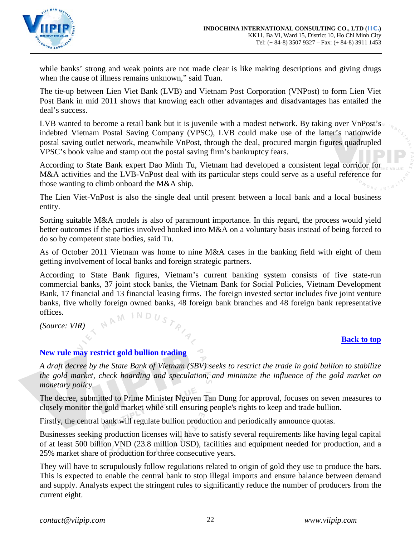

while banks' strong and weak points are not made clear is like making descriptions and giving drugs when the cause of illness remains unknown," said Tuan.

The tie-up between Lien Viet Bank (LVB) and Vietnam Post Corporation (VNPost) to form Lien Viet Post Bank in mid 2011 shows that knowing each other advantages and disadvantages has entailed the deal's success.

LVB wanted to become a retail bank but it is juvenile with a modest network. By taking over VnPost's indebted Vietnam Postal Saving Company (VPSC), LVB could make use of the latter's nationwide postal saving outlet network, meanwhile VnPost, through the deal, procured margin figures quadrupled VPSC's book value and stamp out the postal saving firm's bankruptcy fears.

According to State Bank expert Dao Minh Tu, Vietnam had developed a consistent legal corridor for M&A activities and the LVB-VnPost deal with its particular steps could serve as a useful reference for those wanting to climb onboard the M&A ship.

The Lien Viet-VnPost is also the single deal until present between a local bank and a local business entity.

Sorting suitable M&A models is also of paramount importance. In this regard, the process would yield better outcomes if the parties involved hooked into M&A on a voluntary basis instead of being forced to do so by competent state bodies, said Tu.

As of October 2011 Vietnam was home to nine M&A cases in the banking field with eight of them getting involvement of local banks and foreign strategic partners.

According to State Bank figures, Vietnam's current banking system consists of five state-run commercial banks, 37 joint stock banks, the Vietnam Bank for Social Policies, Vietnam Development Bank, 17 financial and 13 financial leasing firms. The foreign invested sector includes five joint venture banks, five wholly foreign owned banks, 48 foreign bank branches and 48 foreign bank representative offices. NAM

*(Source: VIR)*

## **[Back to top](#page-0-0)**

## <span id="page-21-0"></span>**New rule may restrict gold bullion trading**

*A draft decree by the State Bank of Vietnam (SBV) seeks to restrict the trade in gold bullion to stabilize the gold market, check hoarding and speculation, and minimize the influence of the gold market on monetary policy.* 

The decree, submitted to Prime Minister Nguyen Tan Dung for approval, focuses on seven measures to closely monitor the gold market while still ensuring people's rights to keep and trade bullion.

Firstly, the central bank will regulate bullion production and periodically announce quotas.

Businesses seeking production licenses will have to satisfy several requirements like having legal capital of at least 500 billion VND (23.8 million USD), facilities and equipment needed for production, and a 25% market share of production for three consecutive years.

They will have to scrupulously follow regulations related to origin of gold they use to produce the bars. This is expected to enable the central bank to stop illegal imports and ensure balance between demand and supply. Analysts expect the stringent rules to significantly reduce the number of producers from the current eight.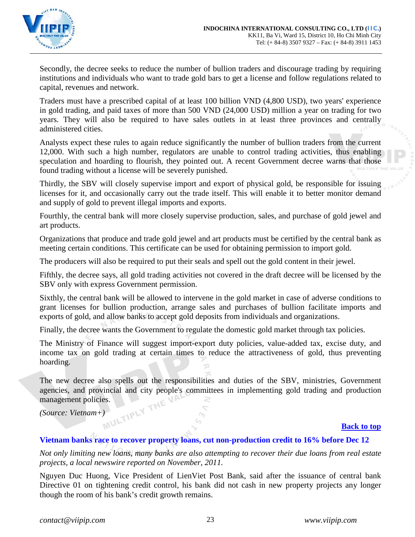

Secondly, the decree seeks to reduce the number of bullion traders and discourage trading by requiring institutions and individuals who want to trade gold bars to get a license and follow regulations related to capital, revenues and network.

Traders must have a prescribed capital of at least 100 billion VND (4,800 USD), two years' experience in gold trading, and paid taxes of more than 500 VND (24,000 USD) million a year on trading for two years. They will also be required to have sales outlets in at least three provinces and centrally administered cities.

Analysts expect these rules to again reduce significantly the number of bullion traders from the current 12,000. With such a high number, regulators are unable to control trading activities, thus enabling speculation and hoarding to flourish, they pointed out. A recent Government decree warns that those found trading without a license will be severely punished.

Thirdly, the SBV will closely supervise import and export of physical gold, be responsible for issuing licenses for it, and occasionally carry out the trade itself. This will enable it to better monitor demand and supply of gold to prevent illegal imports and exports.

Fourthly, the central bank will more closely supervise production, sales, and purchase of gold jewel and art products.

Organizations that produce and trade gold jewel and art products must be certified by the central bank as meeting certain conditions. This certificate can be used for obtaining permission to import gold.

The producers will also be required to put their seals and spell out the gold content in their jewel.

Fifthly, the decree says, all gold trading activities not covered in the draft decree will be licensed by the SBV only with express Government permission.

Sixthly, the central bank will be allowed to intervene in the gold market in case of adverse conditions to grant licenses for bullion production, arrange sales and purchases of bullion facilitate imports and exports of gold, and allow banks to accept gold deposits from individuals and organizations.

Finally, the decree wants the Government to regulate the domestic gold market through tax policies.

The Ministry of Finance will suggest import-export duty policies, value-added tax, excise duty, and income tax on gold trading at certain times to reduce the attractiveness of gold, thus preventing hoarding.

The new decree also spells out the responsibilities and duties of the SBV, ministries, Government agencies, and provincial and city people's committees in implementing gold trading and production management policies.<br>(Source: Vietnam+) management policies.

*(Source: Vietnam+)*

## **[Back to top](#page-0-0)**

## <span id="page-22-0"></span>**Vietnam banks race to recover property loans, cut non-production credit to 16% before Dec 12**

*Not only limiting new loans, many banks are also attempting to recover their due loans from real estate projects, a local newswire reported on November, 2011.*

Nguyen Duc Huong, Vice President of LienViet Post Bank, said after the issuance of central bank Directive 01 on tightening credit control, his bank did not cash in new property projects any longer though the room of his bank's credit growth remains.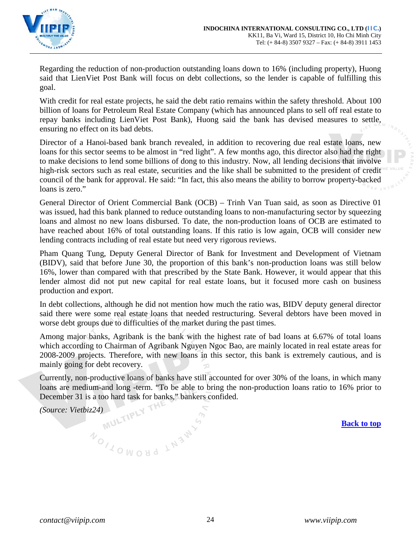

Regarding the reduction of non-production outstanding loans down to 16% (including property), Huong said that LienViet Post Bank will focus on debt collections, so the lender is capable of fulfilling this goal.

With credit for real estate projects, he said the debt ratio remains within the safety threshold. About 100 billion of loans for Petroleum Real Estate Company (which has announced plans to sell off real estate to repay banks including LienViet Post Bank), Huong said the bank has devised measures to settle, ensuring no effect on its bad debts.

Director of a Hanoi-based bank branch revealed, in addition to recovering due real estate loans, new loans for this sector seems to be almost in "red light". A few months ago, this director also had the right to make decisions to lend some billions of dong to this industry. Now, all lending decisions that involve high-risk sectors such as real estate, securities and the like shall be submitted to the president of credit council of the bank for approval. He said: "In fact, this also means the ability to borrow property-backed loans is zero."

General Director of Orient Commercial Bank (OCB) – Trinh Van Tuan said, as soon as Directive 01 was issued, had this bank planned to reduce outstanding loans to non-manufacturing sector by squeezing loans and almost no new loans disbursed. To date, the non-production loans of OCB are estimated to have reached about 16% of total outstanding loans. If this ratio is low again, OCB will consider new lending contracts including of real estate but need very rigorous reviews.

Pham Quang Tung, Deputy General Director of Bank for Investment and Development of Vietnam (BIDV), said that before June 30, the proportion of this bank's non-production loans was still below 16%, lower than compared with that prescribed by the State Bank. However, it would appear that this lender almost did not put new capital for real estate loans, but it focused more cash on business production and export.

In debt collections, although he did not mention how much the ratio was, BIDV deputy general director said there were some real estate loans that needed restructuring. Several debtors have been moved in worse debt groups due to difficulties of the market during the past times.

Among major banks, Agribank is the bank with the highest rate of bad loans at 6.67% of total loans which according to Chairman of Agribank Nguyen Ngoc Bao, are mainly located in real estate areas for 2008-2009 projects. Therefore, with new loans in this sector, this bank is extremely cautious, and is mainly going for debt recovery.

Currently, non-productive loans of banks have still accounted for over 30% of the loans, in which many loans are medium-and long -term. "To be able to bring the non-production loans ratio to 16% prior to December 31 is a too hard task for banks," bankers confided.<br>(Source: Vietbiz24)

*(Source: Vietbiz24)*

NOILOWOUD LN3WY

**[Back to top](#page-0-0)**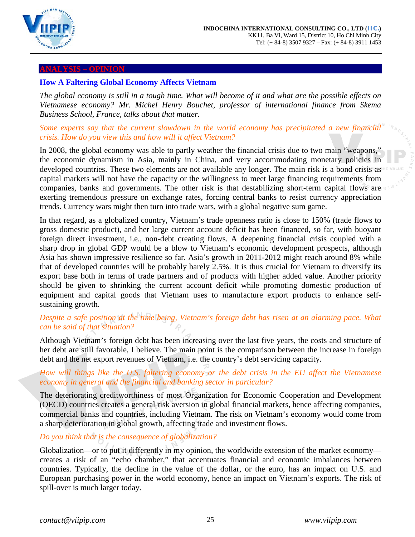

#### <span id="page-24-0"></span>**ANALYSIS – OPINION**

# <span id="page-24-1"></span>**How A Faltering Global Economy Affects Vietnam**

*The global economy is still in a tough time. What will become of it and what are the possible effects on Vietnamese economy? Mr. Michel Henry Bouchet, professor of international finance from Skema Business School, France, talks about that matter.*

# *Some experts say that the current slowdown in the world economy has precipitated a new financial crisis. How do you view this and how will it affect Vietnam?*

In 2008, the global economy was able to partly weather the financial crisis due to two main "weapons," the economic dynamism in Asia, mainly in China, and very accommodating monetary policies in developed countries. These two elements are not available any longer. The main risk is a bond crisis as capital markets will not have the capacity or the willingness to meet large financing requirements from companies, banks and governments. The other risk is that destabilizing short-term capital flows are exerting tremendous pressure on exchange rates, forcing central banks to resist currency appreciation trends. Currency wars might then turn into trade wars, with a global negative sum game.

In that regard, as a globalized country, Vietnam's trade openness ratio is close to 150% (trade flows to gross domestic product), and her large current account deficit has been financed, so far, with buoyant foreign direct investment, i.e., non-debt creating flows. A deepening financial crisis coupled with a sharp drop in global GDP would be a blow to Vietnam's economic development prospects, although Asia has shown impressive resilience so far. Asia's growth in 2011-2012 might reach around 8% while that of developed countries will be probably barely 2.5%. It is thus crucial for Vietnam to diversify its export base both in terms of trade partners and of products with higher added value. Another priority should be given to shrinking the current account deficit while promoting domestic production of equipment and capital goods that Vietnam uses to manufacture export products to enhance selfsustaining growth.

# *Despite a safe position at the time being, Vietnam's foreign debt has risen at an alarming pace. What can be said of that situation?*

Although Vietnam's foreign debt has been increasing over the last five years, the costs and structure of her debt are still favorable, I believe. The main point is the comparison between the increase in foreign debt and the net export revenues of Vietnam, i.e. the country's debt servicing capacity.

# *How will things like the U.S. faltering economy or the debt crisis in the EU affect the Vietnamese economy in general and the financial and banking sector in particular?*

The deteriorating creditworthiness of most Organization for Economic Cooperation and Development (OECD) countries creates a general risk aversion in global financial markets, hence affecting companies, commercial banks and countries, including Vietnam. The risk on Vietnam's economy would come from a sharp deterioration in global growth, affecting trade and investment flows.

# *Do you think that is the consequence of globalization?*

Globalization—or to put it differently in my opinion, the worldwide extension of the market economy creates a risk of an "echo chamber," that accentuates financial and economic imbalances between countries. Typically, the decline in the value of the dollar, or the euro, has an impact on U.S. and European purchasing power in the world economy, hence an impact on Vietnam's exports. The risk of spill-over is much larger today.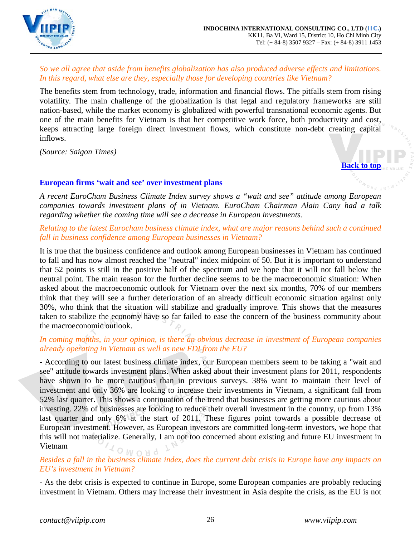

# *So we all agree that aside from benefits globalization has also produced adverse effects and limitations. In this regard, what else are they, especially those for developing countries like Vietnam?*

The benefits stem from technology, trade, information and financial flows. The pitfalls stem from rising volatility. The main challenge of the globalization is that legal and regulatory frameworks are still nation-based, while the market economy is globalized with powerful transnational economic agents. But one of the main benefits for Vietnam is that her competitive work force, both productivity and cost, keeps attracting large foreign direct investment flows, which constitute non-debt creating capital inflows.

*(Source: Saigon Times)*

**[Back to top](#page-0-0)**

# <span id="page-25-0"></span>**European firms 'wait and see' over investment plans**

*A recent EuroCham Business Climate Index survey shows a "wait and see" attitude among European companies towards investment plans of in Vietnam. EuroCham Chairman Alain Cany had a talk regarding whether the coming time will see a decrease in European investments.*

# *Relating to the latest Eurocham business climate index, what are major reasons behind such a continued fall in business confidence among European businesses in Vietnam?*

It is true that the business confidence and outlook among European businesses in Vietnam has continued to fall and has now almost reached the "neutral" index midpoint of 50. But it is important to understand that 52 points is still in the positive half of the spectrum and we hope that it will not fall below the neutral point. The main reason for the further decline seems to be the macroeconomic situation: When asked about the macroeconomic outlook for Vietnam over the next six months, 70% of our members think that they will see a further deterioration of an already difficult economic situation against only 30%, who think that the situation will stabilize and gradually improve. This shows that the measures taken to stabilize the economy have so far failed to ease the concern of the business community about the macroeconomic outlook.

# *In coming months, in your opinion, is there an obvious decrease in investment of European companies already operating in Vietnam as well as new FDI from the EU?*

- According to our latest business climate index, our European members seem to be taking a "wait and see" attitude towards investment plans. When asked about their investment plans for 2011, respondents have shown to be more cautious than in previous surveys. 38% want to maintain their level of investment and only 36% are looking to increase their investments in Vietnam, a significant fall from 52% last quarter. This shows a continuation of the trend that businesses are getting more cautious about investing. 22% of businesses are looking to reduce their overall investment in the country, up from 13% last quarter and only 6% at the start of 2011. These figures point towards a possible decrease of European investment. However, as European investors are committed long-term investors, we hope that this will not materialize. Generally, I am not too concerned about existing and future EU investment in Vietnam  $OMONO$ 

# *Besides a fall in the business climate index, does the current debt crisis in Europe have any impacts on EU's investment in Vietnam?*

- As the debt crisis is expected to continue in Europe, some European companies are probably reducing investment in Vietnam. Others may increase their investment in Asia despite the crisis, as the EU is not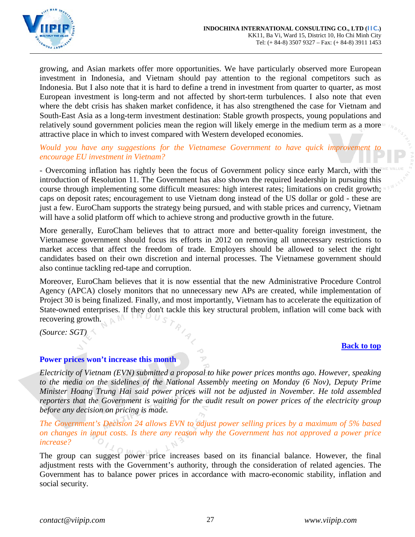

growing, and Asian markets offer more opportunities. We have particularly observed more European investment in Indonesia, and Vietnam should pay attention to the regional competitors such as Indonesia. But I also note that it is hard to define a trend in investment from quarter to quarter, as most European investment is long-term and not affected by short-term turbulences. I also note that even where the debt crisis has shaken market confidence, it has also strengthened the case for Vietnam and South-East Asia as a long-term investment destination: Stable growth prospects, young populations and relatively sound government policies mean the region will likely emerge in the medium term as a more attractive place in which to invest compared with Western developed economies.

# *Would you have any suggestions for the Vietnamese Government to have quick improvement encourage EU investment in Vietnam?*

- Overcoming inflation has rightly been the focus of Government policy since early March, with the introduction of Resolution 11. The Government has also shown the required leadership in pursuing this course through implementing some difficult measures: high interest rates; limitations on credit growth; caps on deposit rates; encouragement to use Vietnam dong instead of the US dollar or gold - these are just a few. EuroCham supports the strategy being pursued, and with stable prices and currency, Vietnam will have a solid platform off which to achieve strong and productive growth in the future.

More generally, EuroCham believes that to attract more and better-quality foreign investment, the Vietnamese government should focus its efforts in 2012 on removing all unnecessary restrictions to market access that affect the freedom of trade. Employers should be allowed to select the right candidates based on their own discretion and internal processes. The Vietnamese government should also continue tackling red-tape and corruption.

Moreover, EuroCham believes that it is now essential that the new Administrative Procedure Control Agency (APCA) closely monitors that no unnecessary new APs are created, while implementation of Project 30 is being finalized. Finally, and most importantly, Vietnam has to accelerate the equitization of State-owned enterprises. If they don't tackle this key structural problem, inflation will come back with recovering growth. recovering growth.

*(Source: SGT)*

## **[Back to top](#page-0-0)**

## <span id="page-26-0"></span>**Power prices won't increase this month**

*Electricity of Vietnam (EVN) submitted a proposal to hike power prices months ago. However, speaking to the media on the sidelines of the National Assembly meeting on Monday (6 Nov), Deputy Prime Minister Hoang Trung Hai said power prices will not be adjusted in November. He told assembled reporters that the Government is waiting for the audit result on power prices of the electricity group before any decision on pricing is made.* 

*The Government's Decision 24 allows EVN to adjust power selling prices by a maximum of 5% based on changes in input costs. Is there any reason why the Government has not approved a power price increase?*

The group can suggest power price increases based on its financial balance. However, the final adjustment rests with the Government's authority, through the consideration of related agencies. The Government has to balance power prices in accordance with macro-economic stability, inflation and social security.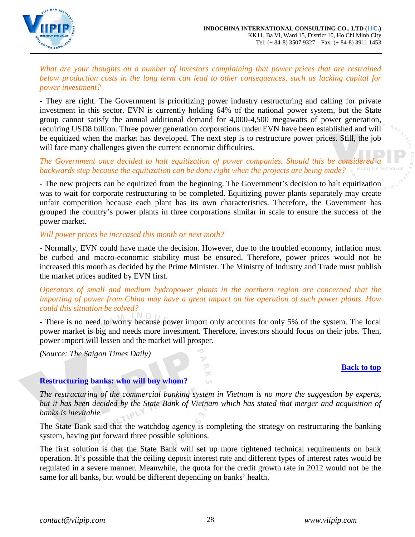

*What are your thoughts on a number of investors complaining that power prices that are restrained below production costs in the long term can lead to other consequences, such as lacking capital for power investment?* 

- They are right. The Government is prioritizing power industry restructuring and calling for private investment in this sector. EVN is currently holding 64% of the national power system, but the State group cannot satisfy the annual additional demand for 4,000-4,500 megawatts of power generation, requiring USD8 billion. Three power generation corporations under EVN have been established and will be equitized when the market has developed. The next step is to restructure power prices. Still, the job will face many challenges given the current economic difficulties.

# The Government once decided to halt equitization of power companies. Should this be considered *backwards step because the equitization can be done right when the projects are being made?*

- The new projects can be equitized from the beginning. The Government's decision to halt equitization was to wait for corporate restructuring to be completed. Equitizing power plants separately may create unfair competition because each plant has its own characteristics. Therefore, the Government has grouped the country's power plants in three corporations similar in scale to ensure the success of the power market.

## *Will power prices be increased this month or next moth?*

- Normally, EVN could have made the decision. However, due to the troubled economy, inflation must be curbed and macro-economic stability must be ensured. Therefore, power prices would not be increased this month as decided by the Prime Minister. The Ministry of Industry and Trade must publish the market prices audited by EVN first.

*Operators of small and medium hydropower plants in the northern region are concerned that the importing of power from China may have a great impact on the operation of such power plants. How could this situation be solved?*

- There is no need to worry because power import only accounts for only 5% of the system. The local power market is big and needs more investment. Therefore, investors should focus on their jobs. Then, power import will lessen and the market will prosper.

> v  $\mathcal{D}$ ズ  $\cup$

*(Source: The Saigon Times Daily)*

## **[Back to top](#page-0-0)**

# <span id="page-27-0"></span>**Restructuring banks: who will buy whom?**

*The restructuring of the commercial banking system in Vietnam is no more the suggestion by experts, but it has been decided by the State Bank of Vietnam which has stated that merger and acquisition of banks is inevitable.*

The State Bank said that the watchdog agency is completing the strategy on restructuring the banking system, having put forward three possible solutions.

The first solution is that the State Bank will set up more tightened technical requirements on bank operation. It's possible that the ceiling deposit interest rate and different types of interest rates would be regulated in a severe manner. Meanwhile, the quota for the credit growth rate in 2012 would not be the same for all banks, but would be different depending on banks' health.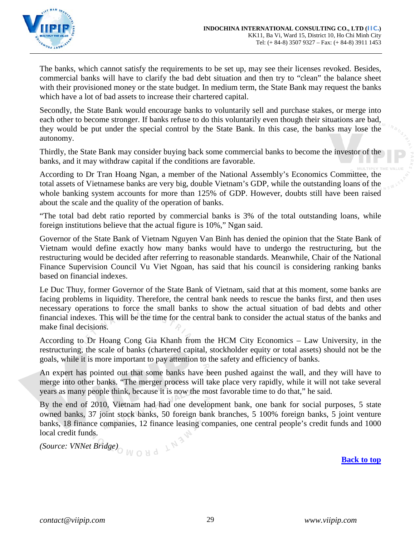

The banks, which cannot satisfy the requirements to be set up, may see their licenses revoked. Besides, commercial banks will have to clarify the bad debt situation and then try to "clean" the balance sheet with their provisioned money or the state budget. In medium term, the State Bank may request the banks which have a lot of bad assets to increase their chartered capital.

Secondly, the State Bank would encourage banks to voluntarily sell and purchase stakes, or merge into each other to become stronger. If banks refuse to do this voluntarily even though their situations are bad, they would be put under the special control by the State Bank. In this case, the banks may lose the autonomy.

Thirdly, the State Bank may consider buying back some commercial banks to become the investor of the banks, and it may withdraw capital if the conditions are favorable.

According to Dr Tran Hoang Ngan, a member of the National Assembly's Economics Committee, the total assets of Vietnamese banks are very big, double Vietnam's GDP, while the outstanding loans of the whole banking system accounts for more than 125% of GDP. However, doubts still have been raised about the scale and the quality of the operation of banks.

"The total bad debt ratio reported by commercial banks is 3% of the total outstanding loans, while foreign institutions believe that the actual figure is 10%," Ngan said.

Governor of the State Bank of Vietnam Nguyen Van Binh has denied the opinion that the State Bank of Vietnam would define exactly how many banks would have to undergo the restructuring, but the restructuring would be decided after referring to reasonable standards. Meanwhile, Chair of the National Finance Supervision Council Vu Viet Ngoan, has said that his council is considering ranking banks based on financial indexes.

Le Duc Thuy, former Governor of the State Bank of Vietnam, said that at this moment, some banks are facing problems in liquidity. Therefore, the central bank needs to rescue the banks first, and then uses necessary operations to force the small banks to show the actual situation of bad debts and other financial indexes. This will be the time for the central bank to consider the actual status of the banks and make final decisions.

According to Dr Hoang Cong Gia Khanh from the HCM City Economics – Law University, in the restructuring, the scale of banks (chartered capital, stockholder equity or total assets) should not be the goals, while it is more important to pay attention to the safety and efficiency of banks.

An expert has pointed out that some banks have been pushed against the wall, and they will have to merge into other banks. "The merger process will take place very rapidly, while it will not take several years as many people think, because it is now the most favorable time to do that," he said.

By the end of 2010, Vietnam had had one development bank, one bank for social purposes, 5 state owned banks, 37 joint stock banks, 50 foreign bank branches, 5 100% foreign banks, 5 joint venture banks, 18 finance companies, 12 finance leasing companies, one central people's credit funds and 1000 local credit funds.

*(Source: VNNet Bridge) M O 8 d*  $\downarrow$ <sup>13</sup>

**[Back to top](#page-0-0)**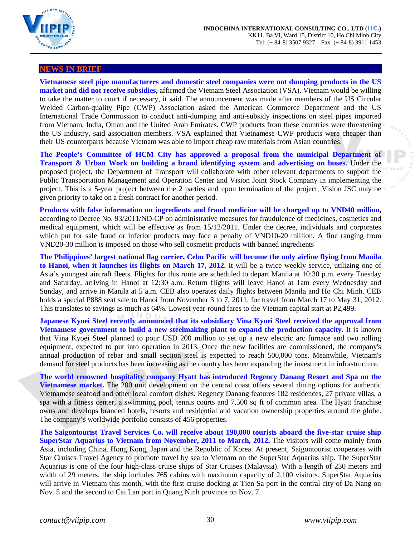

#### <span id="page-29-0"></span>**NEWS IN BRIEF**

**Vietnamese steel pipe manufacturers and domestic steel companies were not dumping products in the US market and did not receive subsidies,** affirmed the Vietnam Steel Association (VSA). Vietnam would be willing to take the matter to court if necessary, it said. The announcement was made after members of the US Circular Welded Carbon-quality Pipe (CWP) Association asked the American Commerce Department and the US International Trade Commission to conduct anti-dumping and anti-subsidy inspections on steel pipes imported from Vietnam, India, Oman and the United Arab Emirates. CWP products from these countries were threatening the US industry, said association members. VSA explained that Vietnamese CWP products were cheaper than their US counterparts because Vietnam was able to import cheap raw materials from Asian countries.

**The People's Committee of HCM City has approved a proposal from the municipal Department of Transport & Urban Work on building a brand identifying system and advertising on buses.** Under the proposed project, the Department of Transport will collaborate with other relevant departments to support the Public Transportation Management and Operation Center and Vision Joint Stock Company in implementing the project. This is a 5-year project between the 2 parties and upon termination of the project, Vision JSC may be given priority to take on a fresh contract for another period.

**Products with false information on ingredients and fraud medicine will be charged up to VND40 million,** according to Decree No. 93/2011/ND-CP on administrative measures for fraudulence of medicines, cosmetics and medical equipment, which will be effective as from 15/12/2011. Under the decree, individuals and corporates which put for sale fraud or inferior products may face a penalty of VND10-20 million. A fine ranging from VND20-30 million is imposed on those who sell cosmetic products with banned ingredients

**The Philippines' largest national flag carrier, Cebu Pacific will become the only airline flying from Manila to Hanoi, when it launches its flights on March 17, 2012.** It will be a twice weekly service, utilizing one of Asia's youngest aircraft fleets. Flights for this route are scheduled to depart Manila at 10:30 p.m. every Tuesday and Saturday, arriving in Hanoi at 12:30 a.m. Return flights will leave Hanoi at 1am every Wednesday and Sunday, and arrive in Manila at 5 a.m. CEB also operates daily flights between Manila and Ho Chi Minh. CEB holds a special P888 seat sale to Hanoi from November 3 to 7, 2011, for travel from March 17 to May 31, 2012. This translates to savings as much as 64%. Lowest year-round fares to the Vietnam capital start at P2,499.

**Japanese Kyoei Steel recently announced that its subsidiary Vina Kyoei Steel received the approval from Vietnamese government to build a new steelmaking plant to expand the production capacity.** It is known that Vina Kyoei Steel planned to pour USD 200 million to set up a new electric arc furnace and two rolling equipment, expected to put into operation in 2013. Once the new facilities are commissioned, the company's annual production of rebar and small section steel is expected to reach 500,000 tons. Meanwhile, Vietnam's demand for steel products has been increasing as the country has been expanding the investment in infrastructure.

**The world renowned hospitality company Hyatt has introduced Regency Danang Resort and Spa on the Vietnamese market.** The 200 unit development on the central coast offers several dining options for authentic Vietnamese seafood and other local comfort dishes. Regency Danang features 182 residences, 27 private villas, a spa with a fitness center, a swimming pool, tennis courts and 7,500 sq ft of common area. The Hyatt franchise owns and develops branded hotels, resorts and residential and vacation ownership properties around the globe. The company's worldwide portfolio consists of 456 properties.

**The Saigontourist Travel Services Co. will receive about 190,000 tourists aboard the five-star cruise ship SuperStar Aquarius to Vietnam from November, 2011 to March, 2012.** The visitors will come mainly from Asia, including China, Hong Kong, Japan and the Republic of Korea. At present, Saigontourist cooperates with Star Cruises Travel Agency to promote travel by sea to Vietnam on the SuperStar Aquarius ship. The SuperStar Aquarius is one of the four high-class cruise ships of Star Cruises (Malaysia). With a length of 230 meters and width of 29 meters, the ship includes 765 cabins with maximum capacity of 2,100 visitors. SuperStar Aquarius will arrive in Vietnam this month, with the first cruise docking at Tien Sa port in the central city of Da Nang on Nov. 5 and the second to Cai Lan port in Quang Ninh province on Nov. 7.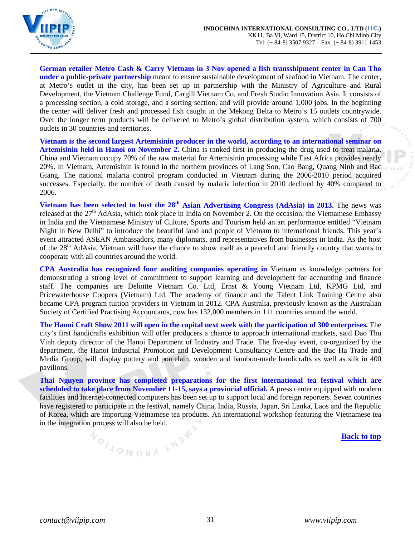

**German retailer Metro Cash & Carry Vietnam in 3 Nov opened a fish transshipment center in Can Tho under a public-private partnership** meant to ensure sustainable development of seafood in Vietnam. The center, at Metro's outlet in the city, has been set up in partnership with the Ministry of Agriculture and Rural Development, the Vietnam Challenge Fund, Cargill Vietnam Co, and Fresh Studio Innovation Asia. It consists of a processing section, a cold storage, and a sorting section, and will provide around 1,000 jobs. In the beginning the center will deliver fresh and processed fish caught in the Mekong Delta to Metro's 15 outlets countrywide. Over the longer term products will be delivered to Metro's global distribution system, which consists of 700 outlets in 30 countries and territories.

**Vietnam is the second largest Artemisinin producer in the world, according to an international seminar on Artemisinin held in Hanoi on November 2.** China is ranked first in producing the drug used to treat malaria. China and Vietnam occupy 70% of the raw material for Artemisinin processing while East Africa provides nearly 20%. In Vietnam, Artemisinin is found in the northern provinces of Lang Son, Cao Bang, Quang Ninh and Bac Giang. The national malaria control program conducted in Vietnam during the 2006-2010 period acquired successes. Especially, the number of death caused by malaria infection in 2010 declined by 40% compared to 2006.

**Vietnam has been selected to host the 28<sup>th</sup> Asian Advertising Congress (AdAsia) in 2013. The news was** released at the 27<sup>th</sup> AdAsia, which took place in India on November 2. On the occasion, the Vietnamese Embassy in India and the Vietnamese Ministry of Culture, Sports and Tourism held an art performance entitled "Vietnam Night in New Delhi" to introduce the beautiful land and people of Vietnam to international friends. This year's event attracted ASEAN Ambassadors, many diplomats, and representatives from businesses in India. As the host of the 28<sup>th</sup> AdAsia, Vietnam will have the chance to show itself as a peaceful and friendly country that wants to cooperate with all countries around the world.

**CPA Australia has recognized four auditing companies operating in** Vietnam as knowledge partners for demonstrating a strong level of commitment to support learning and development for accounting and finance staff. The companies are Deloitte Vietnam Co. Ltd, Ernst & Young Vietnam Ltd, KPMG Ltd, and Pricewaterhouse Coopers (Vietnam) Ltd. The academy of finance and the Talent Link Training Centre also became CPA program tuition providers in Vietnam in 2012. CPA Australia, previously known as the Australian Society of Certified Practising Accountants, now has 132,000 members in 111 countries around the world.

**The Hanoi Craft Show 2011 will open in the capital next week with the participation of 300 enterprises.** The city's first handicrafts exhibition will offer producers a chance to approach international markets, said Dao Thu Vinh deputy director of the Hanoi Department of Industry and Trade. The five-day event, co-organized by the department, the Hanoi Industrial Promotion and Development Consultancy Centre and the Bac Ha Trade and Media Group, will display pottery and porcelain, wooden and bamboo-made handicrafts as well as silk in 400 pavilions.

**Thai Nguyen province has completed preparations for the first international tea festival which are scheduled to take place from November 11-15, says a provincial official.** A press center equipped with modern facilities and Internet-connected computers has been set up to support local and foreign reporters. Seven countries have registered to participate in the festival, namely China, India, Russia, Japan, Sri Lanka, Laos and the Republic of Korea, which are importing Vietnamese tea products. An international workshop featuring the Vietnamese tea in the integration process will also be held.

NOILOWOUD LN3W

**[Back to top](#page-0-0)**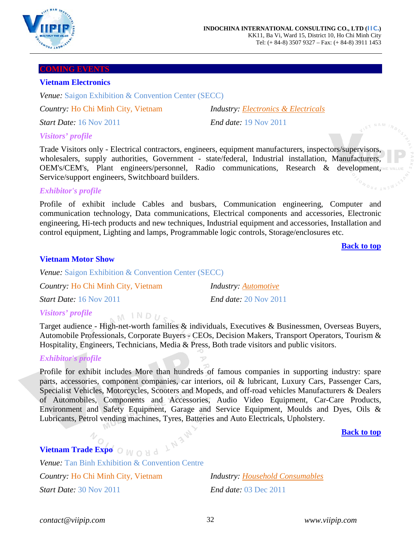

#### <span id="page-31-0"></span>**COMING EVENTS**

### <span id="page-31-1"></span>**Vietnam Electronics**

*Venue:* [Saigon Exhibition & Convention Center \(SECC\)](http://www.biztradeshows.com/venues/saigon-exhibition-convention-center-secc.html)

*Country:* Ho Chi Minh City, Vietnam *Industry: Electronics & Electricals*

*Start Date:* 16 Nov 2011 *End date:* 19 Nov 2011

# *Visitors' profile*

Trade Visitors only - Electrical contractors, engineers, equipment manufacturers, inspectors/supervisors, wholesalers, supply authorities, Government - state/federal, Industrial installation, Manufacturers, OEM's/CEM's, Plant engineers/personnel, Radio communications, Research & development, Service/support engineers, Switchboard builders.

## *Exhibitor's profile*

Profile of exhibit include Cables and busbars, Communication engineering, Computer and communication technology, Data communications, Electrical components and accessories, Electronic engineering, Hi-tech products and new techniques, Industrial equipment and accessories, Installation and control equipment, Lighting and lamps, Programmable logic controls, Storage/enclosures etc.

**[Back to top](#page-0-0)**

## <span id="page-31-2"></span>**Vietnam Motor Show**

*Venue:* Saigon Exhibition & Convention Center (SECC)

 $M$  INDU<sub>c</sub>

| Country: Ho Chi Minh City, Vietnam | <b>Industry</b> : <b>Automotive</b> |
|------------------------------------|-------------------------------------|
| <i>Start Date:</i> 16 Nov 2011     | <i>End date:</i> 20 Nov 2011        |

# *Visitors' profile*

Target audience - High-net-worth families & individuals, Executives & Businessmen, Overseas Buyers, Automobile Professionals, Corporate Buyers - CEOs, Decision Makers, Transport Operators, Tourism & Hospitality, Engineers, Technicians, Media & Press, Both trade visitors and public visitors.

## *Exhibitor's profile*

Profile for exhibit includes More than hundreds of famous companies in supporting industry: spare parts, accessories, component companies, car interiors, oil & lubricant, Luxury Cars, Passenger Cars, Specialist Vehicles, Motorcycles, Scooters and Mopeds, and off-road vehicles Manufacturers & Dealers of Automobiles, Components and Accessories, Audio Video Equipment, Car-Care Products, Environment and Safety Equipment, Garage and Service Equipment, Moulds and Dyes, Oils & Lubricants, Petrol vending machines, Tyres, Batteries and Auto Electricals, Upholstery.

**[Back to top](#page-0-0)**

# <span id="page-31-3"></span>**Vietnam Trade Expo**  $\odot$  *M*  $\odot$  *M*  $\ddot{\odot}$

*Venue:* Tan Binh Exhibition & Convention Centre *Country:* Ho Chi Minh City, Vietnam *Industry: Household Consumables Start Date:* 30 Nov 2011 *End date:* 03 Dec 2011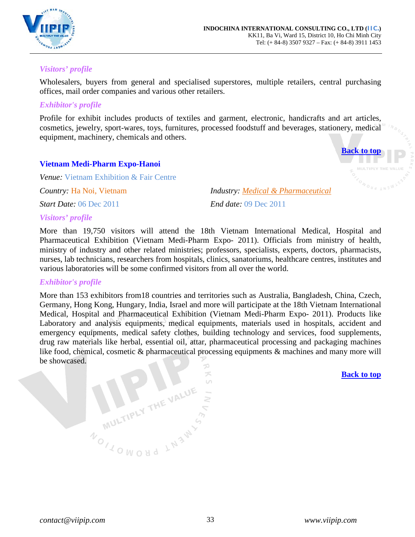

# *Visitors' profile*

Wholesalers, buyers from general and specialised superstores, multiple retailers, central purchasing offices, mail order companies and various other retailers.

# *Exhibitor's profile*

Profile for exhibit includes products of textiles and garment, electronic, handicrafts and art articles, cosmetics, jewelry, sport-wares, toys, furnitures, processed foodstuff and beverages, stationery, medical equipment, machinery, chemicals and others.

# <span id="page-32-0"></span>**Vietnam Medi-Pharm Expo-Hanoi**

*Venue:* Vietnam Exhibition & Fair Centre *Country:* Ha Noi, Vietnam *Industry: Medical & Pharmaceutical Start Date:* 06 Dec 2011 *End date:* 09 Dec 2011

*Visitors' profile*

More than 19,750 visitors will attend the 18th Vietnam International Medical, Hospital and Pharmaceutical Exhibition (Vietnam Medi-Pharm Expo- 2011). Officials from ministry of health, ministry of industry and other related ministries; professors, specialists, experts, doctors, pharmacists, nurses, lab technicians, researchers from hospitals, clinics, sanatoriums, healthcare centres, institutes and various laboratories will be some confirmed visitors from all over the world.

## *Exhibitor's profile*

More than 153 exhibitors from18 countries and territories such as Australia, Bangladesh, China, Czech, Germany, Hong Kong, Hungary, India, Israel and more will participate at the 18th Vietnam International Medical, Hospital and Pharmaceutical Exhibition (Vietnam Medi-Pharm Expo- 2011). Products like Laboratory and analysis equipments, medical equipments, materials used in hospitals, accident and emergency equipments, medical safety clothes, building technology and services, food supplements, drug raw materials like herbal, essential oil, attar, pharmaceutical processing and packaging machines like food, chemical, cosmetic & pharmaceutical processing equipments & machines and many more will be showcased.  $\mathcal{D}$ 

> 兴  $\cup$

MULTIPLY THE VALUE

NOILOWOUD LN3W

**[Back to top](#page-0-0)**

**[Back to top](#page-0-0)**